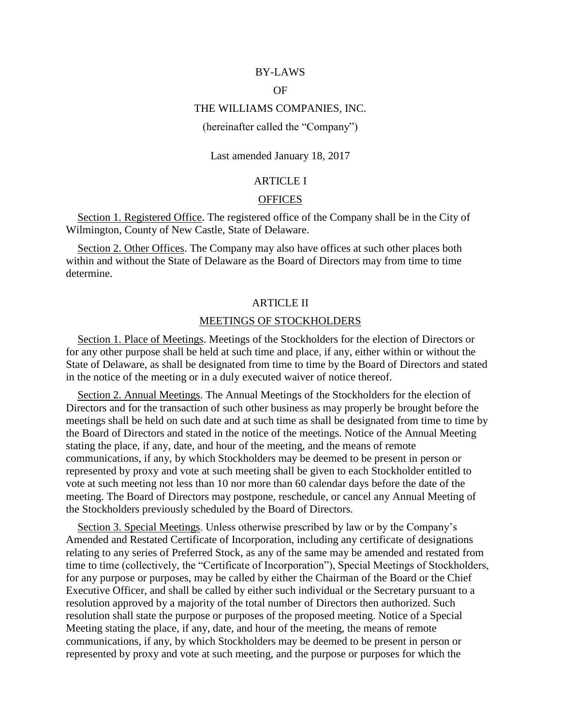## BY-LAWS

# **OF**

## THE WILLIAMS COMPANIES, INC.

## (hereinafter called the "Company")

## Last amended January 18, 2017

# ARTICLE I

#### **OFFICES**

Section 1. Registered Office. The registered office of the Company shall be in the City of Wilmington, County of New Castle, State of Delaware.

Section 2. Other Offices. The Company may also have offices at such other places both within and without the State of Delaware as the Board of Directors may from time to time determine.

### ARTICLE II

## MEETINGS OF STOCKHOLDERS

Section 1. Place of Meetings. Meetings of the Stockholders for the election of Directors or for any other purpose shall be held at such time and place, if any, either within or without the State of Delaware, as shall be designated from time to time by the Board of Directors and stated in the notice of the meeting or in a duly executed waiver of notice thereof.

Section 2. Annual Meetings. The Annual Meetings of the Stockholders for the election of Directors and for the transaction of such other business as may properly be brought before the meetings shall be held on such date and at such time as shall be designated from time to time by the Board of Directors and stated in the notice of the meetings. Notice of the Annual Meeting stating the place, if any, date, and hour of the meeting, and the means of remote communications, if any, by which Stockholders may be deemed to be present in person or represented by proxy and vote at such meeting shall be given to each Stockholder entitled to vote at such meeting not less than 10 nor more than 60 calendar days before the date of the meeting. The Board of Directors may postpone, reschedule, or cancel any Annual Meeting of the Stockholders previously scheduled by the Board of Directors.

Section 3. Special Meetings. Unless otherwise prescribed by law or by the Company's Amended and Restated Certificate of Incorporation, including any certificate of designations relating to any series of Preferred Stock, as any of the same may be amended and restated from time to time (collectively, the "Certificate of Incorporation"), Special Meetings of Stockholders, for any purpose or purposes, may be called by either the Chairman of the Board or the Chief Executive Officer, and shall be called by either such individual or the Secretary pursuant to a resolution approved by a majority of the total number of Directors then authorized. Such resolution shall state the purpose or purposes of the proposed meeting. Notice of a Special Meeting stating the place, if any, date, and hour of the meeting, the means of remote communications, if any, by which Stockholders may be deemed to be present in person or represented by proxy and vote at such meeting, and the purpose or purposes for which the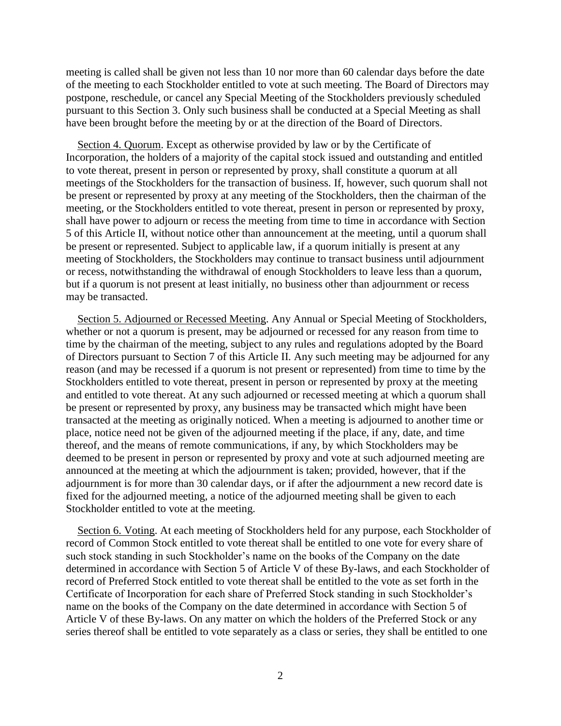meeting is called shall be given not less than 10 nor more than 60 calendar days before the date of the meeting to each Stockholder entitled to vote at such meeting. The Board of Directors may postpone, reschedule, or cancel any Special Meeting of the Stockholders previously scheduled pursuant to this Section 3. Only such business shall be conducted at a Special Meeting as shall have been brought before the meeting by or at the direction of the Board of Directors.

Section 4. Quorum. Except as otherwise provided by law or by the Certificate of Incorporation, the holders of a majority of the capital stock issued and outstanding and entitled to vote thereat, present in person or represented by proxy, shall constitute a quorum at all meetings of the Stockholders for the transaction of business. If, however, such quorum shall not be present or represented by proxy at any meeting of the Stockholders, then the chairman of the meeting, or the Stockholders entitled to vote thereat, present in person or represented by proxy, shall have power to adjourn or recess the meeting from time to time in accordance with Section 5 of this Article II, without notice other than announcement at the meeting, until a quorum shall be present or represented. Subject to applicable law, if a quorum initially is present at any meeting of Stockholders, the Stockholders may continue to transact business until adjournment or recess, notwithstanding the withdrawal of enough Stockholders to leave less than a quorum, but if a quorum is not present at least initially, no business other than adjournment or recess may be transacted.

Section 5. Adjourned or Recessed Meeting. Any Annual or Special Meeting of Stockholders, whether or not a quorum is present, may be adjourned or recessed for any reason from time to time by the chairman of the meeting, subject to any rules and regulations adopted by the Board of Directors pursuant to Section 7 of this Article II. Any such meeting may be adjourned for any reason (and may be recessed if a quorum is not present or represented) from time to time by the Stockholders entitled to vote thereat, present in person or represented by proxy at the meeting and entitled to vote thereat. At any such adjourned or recessed meeting at which a quorum shall be present or represented by proxy, any business may be transacted which might have been transacted at the meeting as originally noticed. When a meeting is adjourned to another time or place, notice need not be given of the adjourned meeting if the place, if any, date, and time thereof, and the means of remote communications, if any, by which Stockholders may be deemed to be present in person or represented by proxy and vote at such adjourned meeting are announced at the meeting at which the adjournment is taken; provided, however, that if the adjournment is for more than 30 calendar days, or if after the adjournment a new record date is fixed for the adjourned meeting, a notice of the adjourned meeting shall be given to each Stockholder entitled to vote at the meeting.

Section 6. Voting. At each meeting of Stockholders held for any purpose, each Stockholder of record of Common Stock entitled to vote thereat shall be entitled to one vote for every share of such stock standing in such Stockholder's name on the books of the Company on the date determined in accordance with Section 5 of Article V of these By-laws, and each Stockholder of record of Preferred Stock entitled to vote thereat shall be entitled to the vote as set forth in the Certificate of Incorporation for each share of Preferred Stock standing in such Stockholder's name on the books of the Company on the date determined in accordance with Section 5 of Article V of these By-laws. On any matter on which the holders of the Preferred Stock or any series thereof shall be entitled to vote separately as a class or series, they shall be entitled to one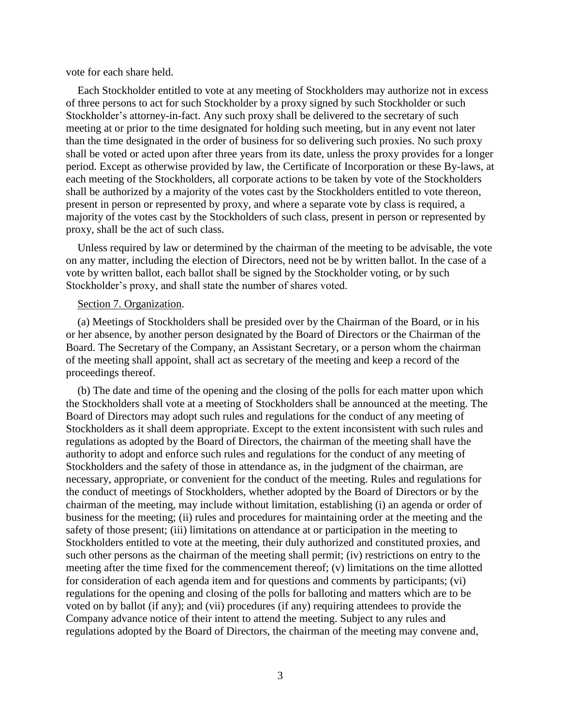vote for each share held.

Each Stockholder entitled to vote at any meeting of Stockholders may authorize not in excess of three persons to act for such Stockholder by a proxy signed by such Stockholder or such Stockholder's attorney-in-fact. Any such proxy shall be delivered to the secretary of such meeting at or prior to the time designated for holding such meeting, but in any event not later than the time designated in the order of business for so delivering such proxies. No such proxy shall be voted or acted upon after three years from its date, unless the proxy provides for a longer period. Except as otherwise provided by law, the Certificate of Incorporation or these By-laws, at each meeting of the Stockholders, all corporate actions to be taken by vote of the Stockholders shall be authorized by a majority of the votes cast by the Stockholders entitled to vote thereon, present in person or represented by proxy, and where a separate vote by class is required, a majority of the votes cast by the Stockholders of such class, present in person or represented by proxy, shall be the act of such class.

Unless required by law or determined by the chairman of the meeting to be advisable, the vote on any matter, including the election of Directors, need not be by written ballot. In the case of a vote by written ballot, each ballot shall be signed by the Stockholder voting, or by such Stockholder's proxy, and shall state the number of shares voted.

### Section 7. Organization.

(a) Meetings of Stockholders shall be presided over by the Chairman of the Board, or in his or her absence, by another person designated by the Board of Directors or the Chairman of the Board. The Secretary of the Company, an Assistant Secretary, or a person whom the chairman of the meeting shall appoint, shall act as secretary of the meeting and keep a record of the proceedings thereof.

(b) The date and time of the opening and the closing of the polls for each matter upon which the Stockholders shall vote at a meeting of Stockholders shall be announced at the meeting. The Board of Directors may adopt such rules and regulations for the conduct of any meeting of Stockholders as it shall deem appropriate. Except to the extent inconsistent with such rules and regulations as adopted by the Board of Directors, the chairman of the meeting shall have the authority to adopt and enforce such rules and regulations for the conduct of any meeting of Stockholders and the safety of those in attendance as, in the judgment of the chairman, are necessary, appropriate, or convenient for the conduct of the meeting. Rules and regulations for the conduct of meetings of Stockholders, whether adopted by the Board of Directors or by the chairman of the meeting, may include without limitation, establishing (i) an agenda or order of business for the meeting; (ii) rules and procedures for maintaining order at the meeting and the safety of those present; (iii) limitations on attendance at or participation in the meeting to Stockholders entitled to vote at the meeting, their duly authorized and constituted proxies, and such other persons as the chairman of the meeting shall permit; (iv) restrictions on entry to the meeting after the time fixed for the commencement thereof; (v) limitations on the time allotted for consideration of each agenda item and for questions and comments by participants; (vi) regulations for the opening and closing of the polls for balloting and matters which are to be voted on by ballot (if any); and (vii) procedures (if any) requiring attendees to provide the Company advance notice of their intent to attend the meeting. Subject to any rules and regulations adopted by the Board of Directors, the chairman of the meeting may convene and,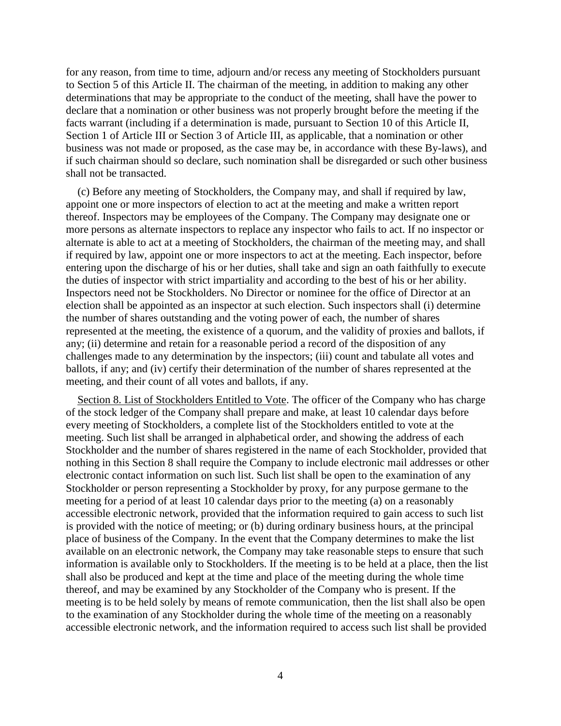for any reason, from time to time, adjourn and/or recess any meeting of Stockholders pursuant to Section 5 of this Article II. The chairman of the meeting, in addition to making any other determinations that may be appropriate to the conduct of the meeting, shall have the power to declare that a nomination or other business was not properly brought before the meeting if the facts warrant (including if a determination is made, pursuant to Section 10 of this Article II, Section 1 of Article III or Section 3 of Article III, as applicable, that a nomination or other business was not made or proposed, as the case may be, in accordance with these By-laws), and if such chairman should so declare, such nomination shall be disregarded or such other business shall not be transacted.

(c) Before any meeting of Stockholders, the Company may, and shall if required by law, appoint one or more inspectors of election to act at the meeting and make a written report thereof. Inspectors may be employees of the Company. The Company may designate one or more persons as alternate inspectors to replace any inspector who fails to act. If no inspector or alternate is able to act at a meeting of Stockholders, the chairman of the meeting may, and shall if required by law, appoint one or more inspectors to act at the meeting. Each inspector, before entering upon the discharge of his or her duties, shall take and sign an oath faithfully to execute the duties of inspector with strict impartiality and according to the best of his or her ability. Inspectors need not be Stockholders. No Director or nominee for the office of Director at an election shall be appointed as an inspector at such election. Such inspectors shall (i) determine the number of shares outstanding and the voting power of each, the number of shares represented at the meeting, the existence of a quorum, and the validity of proxies and ballots, if any; (ii) determine and retain for a reasonable period a record of the disposition of any challenges made to any determination by the inspectors; (iii) count and tabulate all votes and ballots, if any; and (iv) certify their determination of the number of shares represented at the meeting, and their count of all votes and ballots, if any.

Section 8. List of Stockholders Entitled to Vote. The officer of the Company who has charge of the stock ledger of the Company shall prepare and make, at least 10 calendar days before every meeting of Stockholders, a complete list of the Stockholders entitled to vote at the meeting. Such list shall be arranged in alphabetical order, and showing the address of each Stockholder and the number of shares registered in the name of each Stockholder, provided that nothing in this Section 8 shall require the Company to include electronic mail addresses or other electronic contact information on such list. Such list shall be open to the examination of any Stockholder or person representing a Stockholder by proxy, for any purpose germane to the meeting for a period of at least 10 calendar days prior to the meeting (a) on a reasonably accessible electronic network, provided that the information required to gain access to such list is provided with the notice of meeting; or (b) during ordinary business hours, at the principal place of business of the Company. In the event that the Company determines to make the list available on an electronic network, the Company may take reasonable steps to ensure that such information is available only to Stockholders. If the meeting is to be held at a place, then the list shall also be produced and kept at the time and place of the meeting during the whole time thereof, and may be examined by any Stockholder of the Company who is present. If the meeting is to be held solely by means of remote communication, then the list shall also be open to the examination of any Stockholder during the whole time of the meeting on a reasonably accessible electronic network, and the information required to access such list shall be provided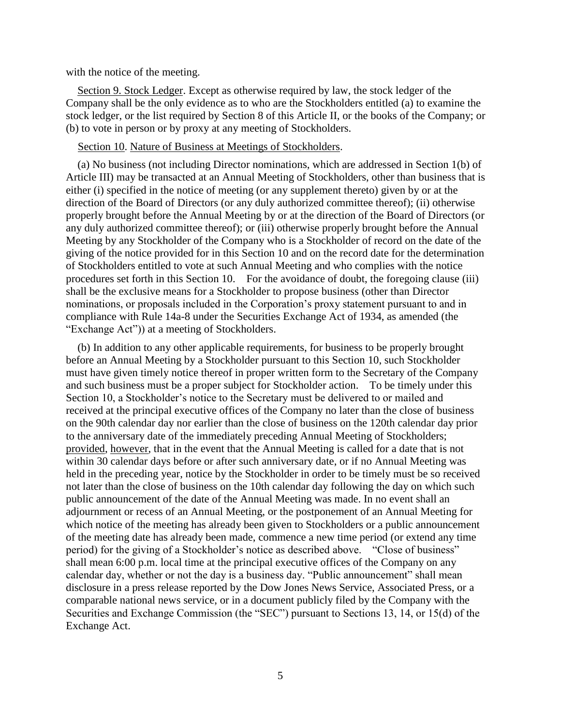with the notice of the meeting.

Section 9. Stock Ledger. Except as otherwise required by law, the stock ledger of the Company shall be the only evidence as to who are the Stockholders entitled (a) to examine the stock ledger, or the list required by Section 8 of this Article II, or the books of the Company; or (b) to vote in person or by proxy at any meeting of Stockholders.

# Section 10. Nature of Business at Meetings of Stockholders.

(a) No business (not including Director nominations, which are addressed in Section 1(b) of Article III) may be transacted at an Annual Meeting of Stockholders, other than business that is either (i) specified in the notice of meeting (or any supplement thereto) given by or at the direction of the Board of Directors (or any duly authorized committee thereof); (ii) otherwise properly brought before the Annual Meeting by or at the direction of the Board of Directors (or any duly authorized committee thereof); or (iii) otherwise properly brought before the Annual Meeting by any Stockholder of the Company who is a Stockholder of record on the date of the giving of the notice provided for in this Section 10 and on the record date for the determination of Stockholders entitled to vote at such Annual Meeting and who complies with the notice procedures set forth in this Section 10. For the avoidance of doubt, the foregoing clause (iii) shall be the exclusive means for a Stockholder to propose business (other than Director nominations, or proposals included in the Corporation's proxy statement pursuant to and in compliance with Rule 14a-8 under the Securities Exchange Act of 1934, as amended (the "Exchange Act")) at a meeting of Stockholders.

(b) In addition to any other applicable requirements, for business to be properly brought before an Annual Meeting by a Stockholder pursuant to this Section 10, such Stockholder must have given timely notice thereof in proper written form to the Secretary of the Company and such business must be a proper subject for Stockholder action. To be timely under this Section 10, a Stockholder's notice to the Secretary must be delivered to or mailed and received at the principal executive offices of the Company no later than the close of business on the 90th calendar day nor earlier than the close of business on the 120th calendar day prior to the anniversary date of the immediately preceding Annual Meeting of Stockholders; provided, however, that in the event that the Annual Meeting is called for a date that is not within 30 calendar days before or after such anniversary date, or if no Annual Meeting was held in the preceding year, notice by the Stockholder in order to be timely must be so received not later than the close of business on the 10th calendar day following the day on which such public announcement of the date of the Annual Meeting was made. In no event shall an adjournment or recess of an Annual Meeting, or the postponement of an Annual Meeting for which notice of the meeting has already been given to Stockholders or a public announcement of the meeting date has already been made, commence a new time period (or extend any time period) for the giving of a Stockholder's notice as described above. "Close of business" shall mean 6:00 p.m. local time at the principal executive offices of the Company on any calendar day, whether or not the day is a business day. "Public announcement" shall mean disclosure in a press release reported by the Dow Jones News Service, Associated Press, or a comparable national news service, or in a document publicly filed by the Company with the Securities and Exchange Commission (the "SEC") pursuant to Sections 13, 14, or 15(d) of the Exchange Act.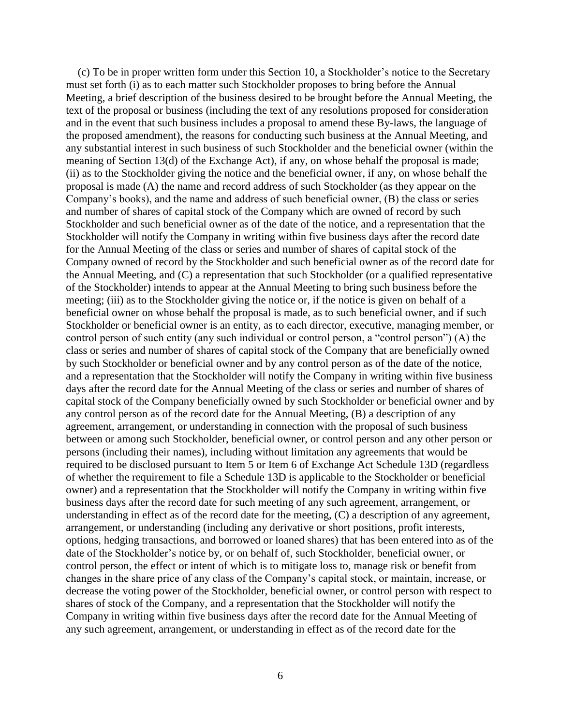(c) To be in proper written form under this Section 10, a Stockholder's notice to the Secretary must set forth (i) as to each matter such Stockholder proposes to bring before the Annual Meeting, a brief description of the business desired to be brought before the Annual Meeting, the text of the proposal or business (including the text of any resolutions proposed for consideration and in the event that such business includes a proposal to amend these By-laws, the language of the proposed amendment), the reasons for conducting such business at the Annual Meeting, and any substantial interest in such business of such Stockholder and the beneficial owner (within the meaning of Section 13(d) of the Exchange Act), if any, on whose behalf the proposal is made; (ii) as to the Stockholder giving the notice and the beneficial owner, if any, on whose behalf the proposal is made (A) the name and record address of such Stockholder (as they appear on the Company's books), and the name and address of such beneficial owner, (B) the class or series and number of shares of capital stock of the Company which are owned of record by such Stockholder and such beneficial owner as of the date of the notice, and a representation that the Stockholder will notify the Company in writing within five business days after the record date for the Annual Meeting of the class or series and number of shares of capital stock of the Company owned of record by the Stockholder and such beneficial owner as of the record date for the Annual Meeting, and (C) a representation that such Stockholder (or a qualified representative of the Stockholder) intends to appear at the Annual Meeting to bring such business before the meeting; (iii) as to the Stockholder giving the notice or, if the notice is given on behalf of a beneficial owner on whose behalf the proposal is made, as to such beneficial owner, and if such Stockholder or beneficial owner is an entity, as to each director, executive, managing member, or control person of such entity (any such individual or control person, a "control person") (A) the class or series and number of shares of capital stock of the Company that are beneficially owned by such Stockholder or beneficial owner and by any control person as of the date of the notice, and a representation that the Stockholder will notify the Company in writing within five business days after the record date for the Annual Meeting of the class or series and number of shares of capital stock of the Company beneficially owned by such Stockholder or beneficial owner and by any control person as of the record date for the Annual Meeting, (B) a description of any agreement, arrangement, or understanding in connection with the proposal of such business between or among such Stockholder, beneficial owner, or control person and any other person or persons (including their names), including without limitation any agreements that would be required to be disclosed pursuant to Item 5 or Item 6 of Exchange Act Schedule 13D (regardless of whether the requirement to file a Schedule 13D is applicable to the Stockholder or beneficial owner) and a representation that the Stockholder will notify the Company in writing within five business days after the record date for such meeting of any such agreement, arrangement, or understanding in effect as of the record date for the meeting, (C) a description of any agreement, arrangement, or understanding (including any derivative or short positions, profit interests, options, hedging transactions, and borrowed or loaned shares) that has been entered into as of the date of the Stockholder's notice by, or on behalf of, such Stockholder, beneficial owner, or control person, the effect or intent of which is to mitigate loss to, manage risk or benefit from changes in the share price of any class of the Company's capital stock, or maintain, increase, or decrease the voting power of the Stockholder, beneficial owner, or control person with respect to shares of stock of the Company, and a representation that the Stockholder will notify the Company in writing within five business days after the record date for the Annual Meeting of any such agreement, arrangement, or understanding in effect as of the record date for the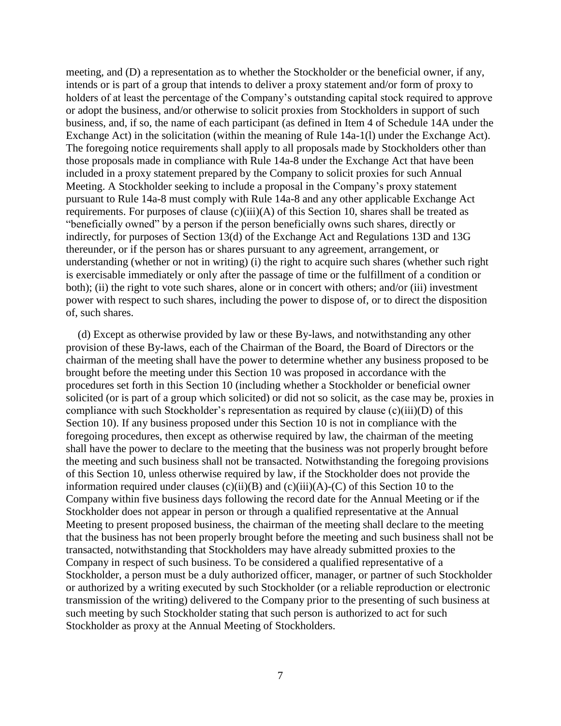meeting, and (D) a representation as to whether the Stockholder or the beneficial owner, if any, intends or is part of a group that intends to deliver a proxy statement and/or form of proxy to holders of at least the percentage of the Company's outstanding capital stock required to approve or adopt the business, and/or otherwise to solicit proxies from Stockholders in support of such business, and, if so, the name of each participant (as defined in Item 4 of Schedule 14A under the Exchange Act) in the solicitation (within the meaning of Rule 14a-1(l) under the Exchange Act). The foregoing notice requirements shall apply to all proposals made by Stockholders other than those proposals made in compliance with Rule 14a-8 under the Exchange Act that have been included in a proxy statement prepared by the Company to solicit proxies for such Annual Meeting. A Stockholder seeking to include a proposal in the Company's proxy statement pursuant to Rule 14a-8 must comply with Rule 14a-8 and any other applicable Exchange Act requirements. For purposes of clause  $(c)(iii)(A)$  of this Section 10, shares shall be treated as "beneficially owned" by a person if the person beneficially owns such shares, directly or indirectly, for purposes of Section 13(d) of the Exchange Act and Regulations 13D and 13G thereunder, or if the person has or shares pursuant to any agreement, arrangement, or understanding (whether or not in writing) (i) the right to acquire such shares (whether such right is exercisable immediately or only after the passage of time or the fulfillment of a condition or both); (ii) the right to vote such shares, alone or in concert with others; and/or (iii) investment power with respect to such shares, including the power to dispose of, or to direct the disposition of, such shares.

(d) Except as otherwise provided by law or these By-laws, and notwithstanding any other provision of these By-laws, each of the Chairman of the Board, the Board of Directors or the chairman of the meeting shall have the power to determine whether any business proposed to be brought before the meeting under this Section 10 was proposed in accordance with the procedures set forth in this Section 10 (including whether a Stockholder or beneficial owner solicited (or is part of a group which solicited) or did not so solicit, as the case may be, proxies in compliance with such Stockholder's representation as required by clause (c)(iii)(D) of this Section 10). If any business proposed under this Section 10 is not in compliance with the foregoing procedures, then except as otherwise required by law, the chairman of the meeting shall have the power to declare to the meeting that the business was not properly brought before the meeting and such business shall not be transacted. Notwithstanding the foregoing provisions of this Section 10, unless otherwise required by law, if the Stockholder does not provide the information required under clauses  $(c)(ii)(B)$  and  $(c)(iii)(A)-(C)$  of this Section 10 to the Company within five business days following the record date for the Annual Meeting or if the Stockholder does not appear in person or through a qualified representative at the Annual Meeting to present proposed business, the chairman of the meeting shall declare to the meeting that the business has not been properly brought before the meeting and such business shall not be transacted, notwithstanding that Stockholders may have already submitted proxies to the Company in respect of such business. To be considered a qualified representative of a Stockholder, a person must be a duly authorized officer, manager, or partner of such Stockholder or authorized by a writing executed by such Stockholder (or a reliable reproduction or electronic transmission of the writing) delivered to the Company prior to the presenting of such business at such meeting by such Stockholder stating that such person is authorized to act for such Stockholder as proxy at the Annual Meeting of Stockholders.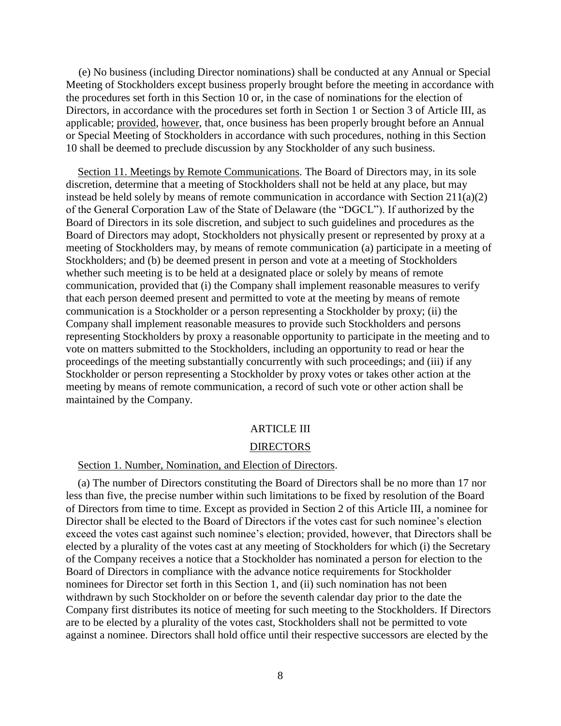(e) No business (including Director nominations) shall be conducted at any Annual or Special Meeting of Stockholders except business properly brought before the meeting in accordance with the procedures set forth in this Section 10 or, in the case of nominations for the election of Directors, in accordance with the procedures set forth in Section 1 or Section 3 of Article III, as applicable; provided, however, that, once business has been properly brought before an Annual or Special Meeting of Stockholders in accordance with such procedures, nothing in this Section 10 shall be deemed to preclude discussion by any Stockholder of any such business.

Section 11. Meetings by Remote Communications. The Board of Directors may, in its sole discretion, determine that a meeting of Stockholders shall not be held at any place, but may instead be held solely by means of remote communication in accordance with Section 211(a)(2) of the General Corporation Law of the State of Delaware (the "DGCL"). If authorized by the Board of Directors in its sole discretion, and subject to such guidelines and procedures as the Board of Directors may adopt, Stockholders not physically present or represented by proxy at a meeting of Stockholders may, by means of remote communication (a) participate in a meeting of Stockholders; and (b) be deemed present in person and vote at a meeting of Stockholders whether such meeting is to be held at a designated place or solely by means of remote communication, provided that (i) the Company shall implement reasonable measures to verify that each person deemed present and permitted to vote at the meeting by means of remote communication is a Stockholder or a person representing a Stockholder by proxy; (ii) the Company shall implement reasonable measures to provide such Stockholders and persons representing Stockholders by proxy a reasonable opportunity to participate in the meeting and to vote on matters submitted to the Stockholders, including an opportunity to read or hear the proceedings of the meeting substantially concurrently with such proceedings; and (iii) if any Stockholder or person representing a Stockholder by proxy votes or takes other action at the meeting by means of remote communication, a record of such vote or other action shall be maintained by the Company.

# ARTICLE III

#### DIRECTORS

### Section 1. Number, Nomination, and Election of Directors.

(a) The number of Directors constituting the Board of Directors shall be no more than 17 nor less than five, the precise number within such limitations to be fixed by resolution of the Board of Directors from time to time. Except as provided in Section 2 of this Article III, a nominee for Director shall be elected to the Board of Directors if the votes cast for such nominee's election exceed the votes cast against such nominee's election; provided, however, that Directors shall be elected by a plurality of the votes cast at any meeting of Stockholders for which (i) the Secretary of the Company receives a notice that a Stockholder has nominated a person for election to the Board of Directors in compliance with the advance notice requirements for Stockholder nominees for Director set forth in this Section 1, and (ii) such nomination has not been withdrawn by such Stockholder on or before the seventh calendar day prior to the date the Company first distributes its notice of meeting for such meeting to the Stockholders. If Directors are to be elected by a plurality of the votes cast, Stockholders shall not be permitted to vote against a nominee. Directors shall hold office until their respective successors are elected by the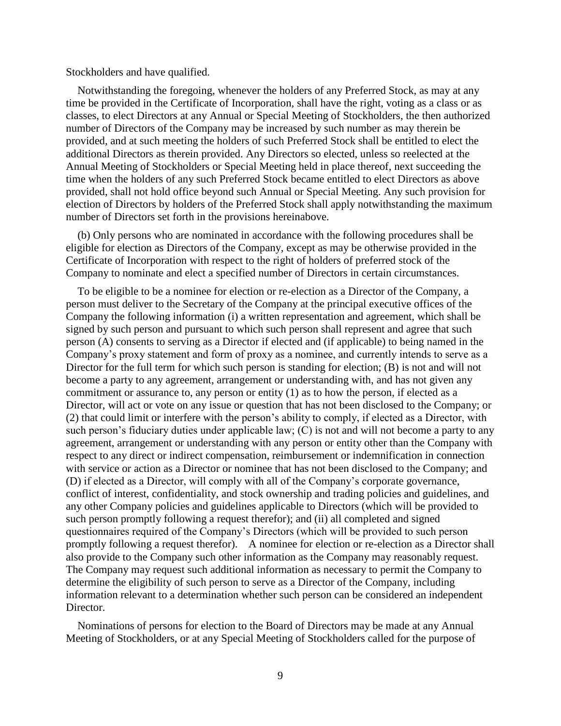#### Stockholders and have qualified.

Notwithstanding the foregoing, whenever the holders of any Preferred Stock, as may at any time be provided in the Certificate of Incorporation, shall have the right, voting as a class or as classes, to elect Directors at any Annual or Special Meeting of Stockholders, the then authorized number of Directors of the Company may be increased by such number as may therein be provided, and at such meeting the holders of such Preferred Stock shall be entitled to elect the additional Directors as therein provided. Any Directors so elected, unless so reelected at the Annual Meeting of Stockholders or Special Meeting held in place thereof, next succeeding the time when the holders of any such Preferred Stock became entitled to elect Directors as above provided, shall not hold office beyond such Annual or Special Meeting. Any such provision for election of Directors by holders of the Preferred Stock shall apply notwithstanding the maximum number of Directors set forth in the provisions hereinabove.

(b) Only persons who are nominated in accordance with the following procedures shall be eligible for election as Directors of the Company, except as may be otherwise provided in the Certificate of Incorporation with respect to the right of holders of preferred stock of the Company to nominate and elect a specified number of Directors in certain circumstances.

To be eligible to be a nominee for election or re-election as a Director of the Company, a person must deliver to the Secretary of the Company at the principal executive offices of the Company the following information (i) a written representation and agreement, which shall be signed by such person and pursuant to which such person shall represent and agree that such person (A) consents to serving as a Director if elected and (if applicable) to being named in the Company's proxy statement and form of proxy as a nominee, and currently intends to serve as a Director for the full term for which such person is standing for election; (B) is not and will not become a party to any agreement, arrangement or understanding with, and has not given any commitment or assurance to, any person or entity (1) as to how the person, if elected as a Director, will act or vote on any issue or question that has not been disclosed to the Company; or (2) that could limit or interfere with the person's ability to comply, if elected as a Director, with such person's fiduciary duties under applicable law; (C) is not and will not become a party to any agreement, arrangement or understanding with any person or entity other than the Company with respect to any direct or indirect compensation, reimbursement or indemnification in connection with service or action as a Director or nominee that has not been disclosed to the Company; and (D) if elected as a Director, will comply with all of the Company's corporate governance, conflict of interest, confidentiality, and stock ownership and trading policies and guidelines, and any other Company policies and guidelines applicable to Directors (which will be provided to such person promptly following a request therefor); and (ii) all completed and signed questionnaires required of the Company's Directors (which will be provided to such person promptly following a request therefor). A nominee for election or re-election as a Director shall also provide to the Company such other information as the Company may reasonably request. The Company may request such additional information as necessary to permit the Company to determine the eligibility of such person to serve as a Director of the Company, including information relevant to a determination whether such person can be considered an independent Director.

Nominations of persons for election to the Board of Directors may be made at any Annual Meeting of Stockholders, or at any Special Meeting of Stockholders called for the purpose of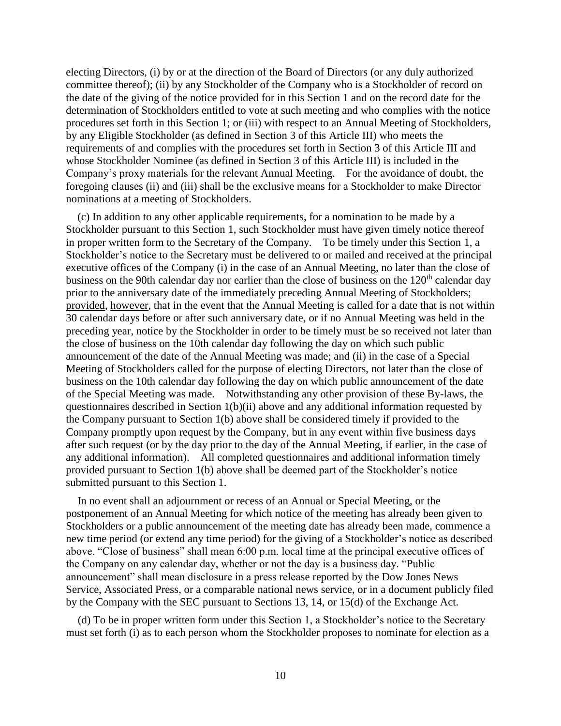electing Directors, (i) by or at the direction of the Board of Directors (or any duly authorized committee thereof); (ii) by any Stockholder of the Company who is a Stockholder of record on the date of the giving of the notice provided for in this Section 1 and on the record date for the determination of Stockholders entitled to vote at such meeting and who complies with the notice procedures set forth in this Section 1; or (iii) with respect to an Annual Meeting of Stockholders, by any Eligible Stockholder (as defined in Section 3 of this Article III) who meets the requirements of and complies with the procedures set forth in Section 3 of this Article III and whose Stockholder Nominee (as defined in Section 3 of this Article III) is included in the Company's proxy materials for the relevant Annual Meeting. For the avoidance of doubt, the foregoing clauses (ii) and (iii) shall be the exclusive means for a Stockholder to make Director nominations at a meeting of Stockholders.

(c) In addition to any other applicable requirements, for a nomination to be made by a Stockholder pursuant to this Section 1, such Stockholder must have given timely notice thereof in proper written form to the Secretary of the Company. To be timely under this Section 1, a Stockholder's notice to the Secretary must be delivered to or mailed and received at the principal executive offices of the Company (i) in the case of an Annual Meeting, no later than the close of business on the 90th calendar day nor earlier than the close of business on the 120<sup>th</sup> calendar day prior to the anniversary date of the immediately preceding Annual Meeting of Stockholders; provided, however, that in the event that the Annual Meeting is called for a date that is not within 30 calendar days before or after such anniversary date, or if no Annual Meeting was held in the preceding year, notice by the Stockholder in order to be timely must be so received not later than the close of business on the 10th calendar day following the day on which such public announcement of the date of the Annual Meeting was made; and (ii) in the case of a Special Meeting of Stockholders called for the purpose of electing Directors, not later than the close of business on the 10th calendar day following the day on which public announcement of the date of the Special Meeting was made. Notwithstanding any other provision of these By-laws, the questionnaires described in Section 1(b)(ii) above and any additional information requested by the Company pursuant to Section 1(b) above shall be considered timely if provided to the Company promptly upon request by the Company, but in any event within five business days after such request (or by the day prior to the day of the Annual Meeting, if earlier, in the case of any additional information). All completed questionnaires and additional information timely provided pursuant to Section 1(b) above shall be deemed part of the Stockholder's notice submitted pursuant to this Section 1.

In no event shall an adjournment or recess of an Annual or Special Meeting, or the postponement of an Annual Meeting for which notice of the meeting has already been given to Stockholders or a public announcement of the meeting date has already been made, commence a new time period (or extend any time period) for the giving of a Stockholder's notice as described above. "Close of business" shall mean 6:00 p.m. local time at the principal executive offices of the Company on any calendar day, whether or not the day is a business day. "Public announcement" shall mean disclosure in a press release reported by the Dow Jones News Service, Associated Press, or a comparable national news service, or in a document publicly filed by the Company with the SEC pursuant to Sections 13, 14, or 15(d) of the Exchange Act.

(d) To be in proper written form under this Section 1, a Stockholder's notice to the Secretary must set forth (i) as to each person whom the Stockholder proposes to nominate for election as a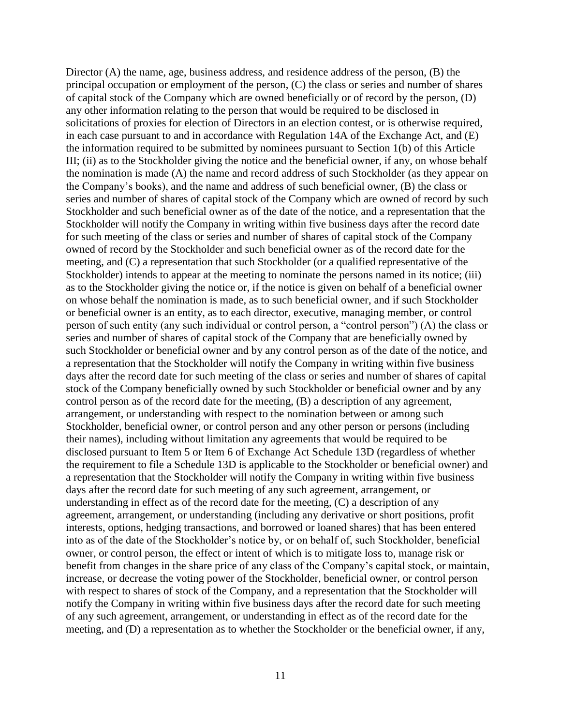Director (A) the name, age, business address, and residence address of the person, (B) the principal occupation or employment of the person, (C) the class or series and number of shares of capital stock of the Company which are owned beneficially or of record by the person, (D) any other information relating to the person that would be required to be disclosed in solicitations of proxies for election of Directors in an election contest, or is otherwise required, in each case pursuant to and in accordance with Regulation 14A of the Exchange Act, and (E) the information required to be submitted by nominees pursuant to Section 1(b) of this Article III; (ii) as to the Stockholder giving the notice and the beneficial owner, if any, on whose behalf the nomination is made (A) the name and record address of such Stockholder (as they appear on the Company's books), and the name and address of such beneficial owner, (B) the class or series and number of shares of capital stock of the Company which are owned of record by such Stockholder and such beneficial owner as of the date of the notice, and a representation that the Stockholder will notify the Company in writing within five business days after the record date for such meeting of the class or series and number of shares of capital stock of the Company owned of record by the Stockholder and such beneficial owner as of the record date for the meeting, and (C) a representation that such Stockholder (or a qualified representative of the Stockholder) intends to appear at the meeting to nominate the persons named in its notice; (iii) as to the Stockholder giving the notice or, if the notice is given on behalf of a beneficial owner on whose behalf the nomination is made, as to such beneficial owner, and if such Stockholder or beneficial owner is an entity, as to each director, executive, managing member, or control person of such entity (any such individual or control person, a "control person") (A) the class or series and number of shares of capital stock of the Company that are beneficially owned by such Stockholder or beneficial owner and by any control person as of the date of the notice, and a representation that the Stockholder will notify the Company in writing within five business days after the record date for such meeting of the class or series and number of shares of capital stock of the Company beneficially owned by such Stockholder or beneficial owner and by any control person as of the record date for the meeting, (B) a description of any agreement, arrangement, or understanding with respect to the nomination between or among such Stockholder, beneficial owner, or control person and any other person or persons (including their names), including without limitation any agreements that would be required to be disclosed pursuant to Item 5 or Item 6 of Exchange Act Schedule 13D (regardless of whether the requirement to file a Schedule 13D is applicable to the Stockholder or beneficial owner) and a representation that the Stockholder will notify the Company in writing within five business days after the record date for such meeting of any such agreement, arrangement, or understanding in effect as of the record date for the meeting, (C) a description of any agreement, arrangement, or understanding (including any derivative or short positions, profit interests, options, hedging transactions, and borrowed or loaned shares) that has been entered into as of the date of the Stockholder's notice by, or on behalf of, such Stockholder, beneficial owner, or control person, the effect or intent of which is to mitigate loss to, manage risk or benefit from changes in the share price of any class of the Company's capital stock, or maintain, increase, or decrease the voting power of the Stockholder, beneficial owner, or control person with respect to shares of stock of the Company, and a representation that the Stockholder will notify the Company in writing within five business days after the record date for such meeting of any such agreement, arrangement, or understanding in effect as of the record date for the meeting, and (D) a representation as to whether the Stockholder or the beneficial owner, if any,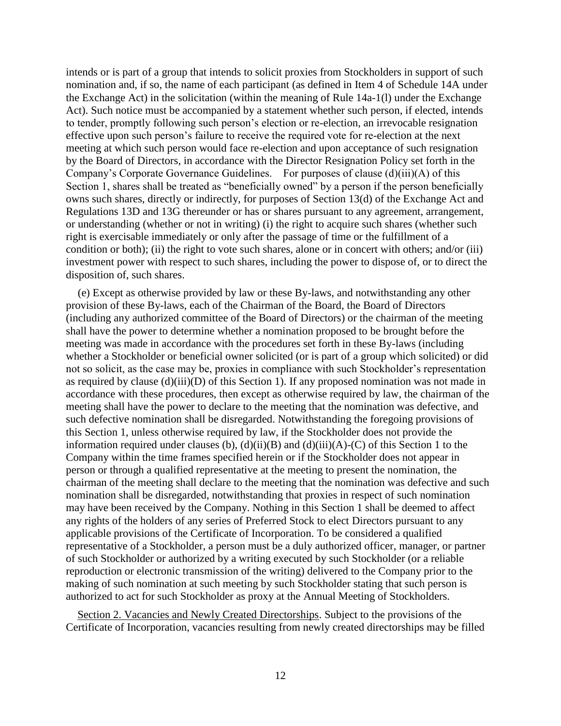intends or is part of a group that intends to solicit proxies from Stockholders in support of such nomination and, if so, the name of each participant (as defined in Item 4 of Schedule 14A under the Exchange Act) in the solicitation (within the meaning of Rule 14a-1(l) under the Exchange Act). Such notice must be accompanied by a statement whether such person, if elected, intends to tender, promptly following such person's election or re-election, an irrevocable resignation effective upon such person's failure to receive the required vote for re-election at the next meeting at which such person would face re-election and upon acceptance of such resignation by the Board of Directors, in accordance with the Director Resignation Policy set forth in the Company's Corporate Governance Guidelines. For purposes of clause (d)(iii)(A) of this Section 1, shares shall be treated as "beneficially owned" by a person if the person beneficially owns such shares, directly or indirectly, for purposes of Section 13(d) of the Exchange Act and Regulations 13D and 13G thereunder or has or shares pursuant to any agreement, arrangement, or understanding (whether or not in writing) (i) the right to acquire such shares (whether such right is exercisable immediately or only after the passage of time or the fulfillment of a condition or both); (ii) the right to vote such shares, alone or in concert with others; and/or (iii) investment power with respect to such shares, including the power to dispose of, or to direct the disposition of, such shares.

(e) Except as otherwise provided by law or these By-laws, and notwithstanding any other provision of these By-laws, each of the Chairman of the Board, the Board of Directors (including any authorized committee of the Board of Directors) or the chairman of the meeting shall have the power to determine whether a nomination proposed to be brought before the meeting was made in accordance with the procedures set forth in these By-laws (including whether a Stockholder or beneficial owner solicited (or is part of a group which solicited) or did not so solicit, as the case may be, proxies in compliance with such Stockholder's representation as required by clause (d)(iii)(D) of this Section 1). If any proposed nomination was not made in accordance with these procedures, then except as otherwise required by law, the chairman of the meeting shall have the power to declare to the meeting that the nomination was defective, and such defective nomination shall be disregarded. Notwithstanding the foregoing provisions of this Section 1, unless otherwise required by law, if the Stockholder does not provide the information required under clauses (b),  $(d)(ii)(B)$  and  $(d)(iii)(A)-(C)$  of this Section 1 to the Company within the time frames specified herein or if the Stockholder does not appear in person or through a qualified representative at the meeting to present the nomination, the chairman of the meeting shall declare to the meeting that the nomination was defective and such nomination shall be disregarded, notwithstanding that proxies in respect of such nomination may have been received by the Company. Nothing in this Section 1 shall be deemed to affect any rights of the holders of any series of Preferred Stock to elect Directors pursuant to any applicable provisions of the Certificate of Incorporation. To be considered a qualified representative of a Stockholder, a person must be a duly authorized officer, manager, or partner of such Stockholder or authorized by a writing executed by such Stockholder (or a reliable reproduction or electronic transmission of the writing) delivered to the Company prior to the making of such nomination at such meeting by such Stockholder stating that such person is authorized to act for such Stockholder as proxy at the Annual Meeting of Stockholders.

Section 2. Vacancies and Newly Created Directorships. Subject to the provisions of the Certificate of Incorporation, vacancies resulting from newly created directorships may be filled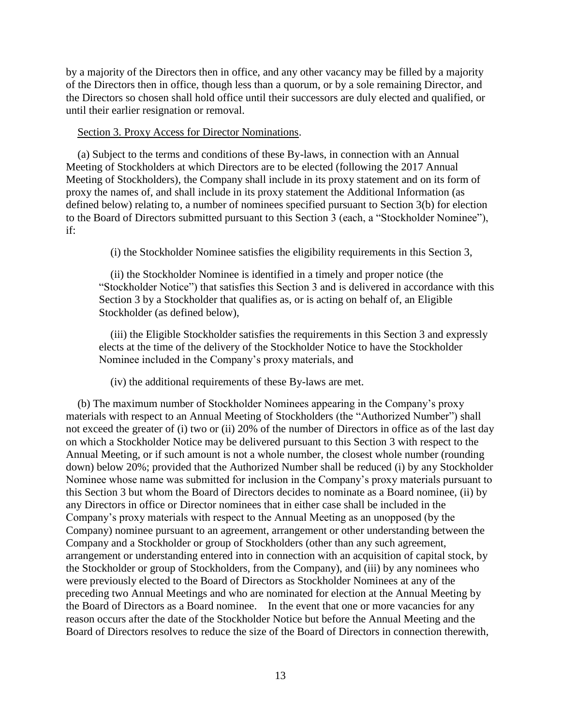by a majority of the Directors then in office, and any other vacancy may be filled by a majority of the Directors then in office, though less than a quorum, or by a sole remaining Director, and the Directors so chosen shall hold office until their successors are duly elected and qualified, or until their earlier resignation or removal.

### Section 3. Proxy Access for Director Nominations.

(a) Subject to the terms and conditions of these By-laws, in connection with an Annual Meeting of Stockholders at which Directors are to be elected (following the 2017 Annual Meeting of Stockholders), the Company shall include in its proxy statement and on its form of proxy the names of, and shall include in its proxy statement the Additional Information (as defined below) relating to, a number of nominees specified pursuant to Section 3(b) for election to the Board of Directors submitted pursuant to this Section 3 (each, a "Stockholder Nominee"), if:

(i) the Stockholder Nominee satisfies the eligibility requirements in this Section 3,

(ii) the Stockholder Nominee is identified in a timely and proper notice (the "Stockholder Notice") that satisfies this Section 3 and is delivered in accordance with this Section 3 by a Stockholder that qualifies as, or is acting on behalf of, an Eligible Stockholder (as defined below),

(iii) the Eligible Stockholder satisfies the requirements in this Section 3 and expressly elects at the time of the delivery of the Stockholder Notice to have the Stockholder Nominee included in the Company's proxy materials, and

(iv) the additional requirements of these By-laws are met.

(b) The maximum number of Stockholder Nominees appearing in the Company's proxy materials with respect to an Annual Meeting of Stockholders (the "Authorized Number") shall not exceed the greater of (i) two or (ii) 20% of the number of Directors in office as of the last day on which a Stockholder Notice may be delivered pursuant to this Section 3 with respect to the Annual Meeting, or if such amount is not a whole number, the closest whole number (rounding down) below 20%; provided that the Authorized Number shall be reduced (i) by any Stockholder Nominee whose name was submitted for inclusion in the Company's proxy materials pursuant to this Section 3 but whom the Board of Directors decides to nominate as a Board nominee, (ii) by any Directors in office or Director nominees that in either case shall be included in the Company's proxy materials with respect to the Annual Meeting as an unopposed (by the Company) nominee pursuant to an agreement, arrangement or other understanding between the Company and a Stockholder or group of Stockholders (other than any such agreement, arrangement or understanding entered into in connection with an acquisition of capital stock, by the Stockholder or group of Stockholders, from the Company), and (iii) by any nominees who were previously elected to the Board of Directors as Stockholder Nominees at any of the preceding two Annual Meetings and who are nominated for election at the Annual Meeting by the Board of Directors as a Board nominee. In the event that one or more vacancies for any reason occurs after the date of the Stockholder Notice but before the Annual Meeting and the Board of Directors resolves to reduce the size of the Board of Directors in connection therewith,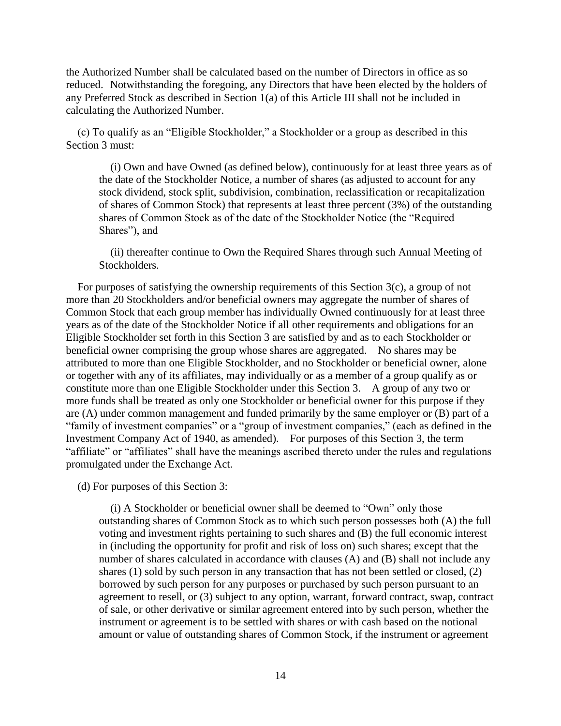the Authorized Number shall be calculated based on the number of Directors in office as so reduced. Notwithstanding the foregoing, any Directors that have been elected by the holders of any Preferred Stock as described in Section 1(a) of this Article III shall not be included in calculating the Authorized Number.

(c) To qualify as an "Eligible Stockholder," a Stockholder or a group as described in this Section 3 must:

(i) Own and have Owned (as defined below), continuously for at least three years as of the date of the Stockholder Notice, a number of shares (as adjusted to account for any stock dividend, stock split, subdivision, combination, reclassification or recapitalization of shares of Common Stock) that represents at least three percent (3%) of the outstanding shares of Common Stock as of the date of the Stockholder Notice (the "Required Shares"), and

(ii) thereafter continue to Own the Required Shares through such Annual Meeting of Stockholders.

For purposes of satisfying the ownership requirements of this Section 3(c), a group of not more than 20 Stockholders and/or beneficial owners may aggregate the number of shares of Common Stock that each group member has individually Owned continuously for at least three years as of the date of the Stockholder Notice if all other requirements and obligations for an Eligible Stockholder set forth in this Section 3 are satisfied by and as to each Stockholder or beneficial owner comprising the group whose shares are aggregated. No shares may be attributed to more than one Eligible Stockholder, and no Stockholder or beneficial owner, alone or together with any of its affiliates, may individually or as a member of a group qualify as or constitute more than one Eligible Stockholder under this Section 3. A group of any two or more funds shall be treated as only one Stockholder or beneficial owner for this purpose if they are (A) under common management and funded primarily by the same employer or (B) part of a "family of investment companies" or a "group of investment companies," (each as defined in the Investment Company Act of 1940, as amended). For purposes of this Section 3, the term "affiliate" or "affiliates" shall have the meanings ascribed thereto under the rules and regulations promulgated under the Exchange Act.

(d) For purposes of this Section 3:

(i) A Stockholder or beneficial owner shall be deemed to "Own" only those outstanding shares of Common Stock as to which such person possesses both (A) the full voting and investment rights pertaining to such shares and (B) the full economic interest in (including the opportunity for profit and risk of loss on) such shares; except that the number of shares calculated in accordance with clauses (A) and (B) shall not include any shares (1) sold by such person in any transaction that has not been settled or closed, (2) borrowed by such person for any purposes or purchased by such person pursuant to an agreement to resell, or (3) subject to any option, warrant, forward contract, swap, contract of sale, or other derivative or similar agreement entered into by such person, whether the instrument or agreement is to be settled with shares or with cash based on the notional amount or value of outstanding shares of Common Stock, if the instrument or agreement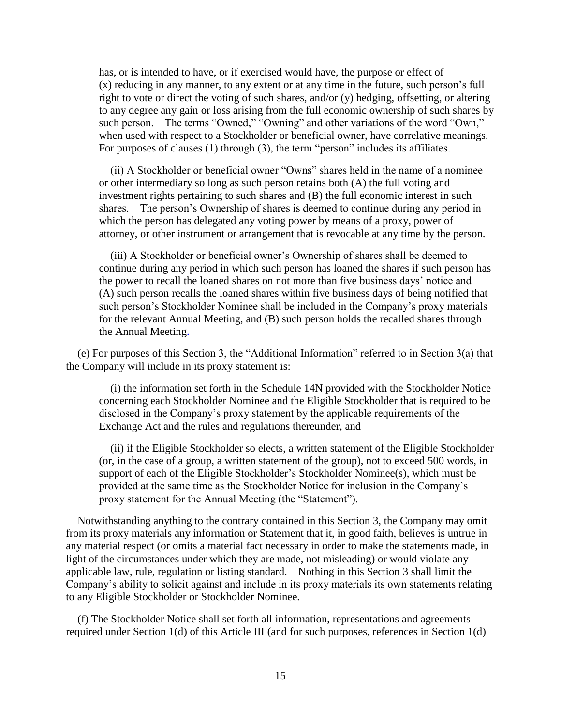has, or is intended to have, or if exercised would have, the purpose or effect of (x) reducing in any manner, to any extent or at any time in the future, such person's full right to vote or direct the voting of such shares, and/or (y) hedging, offsetting, or altering to any degree any gain or loss arising from the full economic ownership of such shares by such person. The terms "Owned," "Owning" and other variations of the word "Own," when used with respect to a Stockholder or beneficial owner, have correlative meanings. For purposes of clauses (1) through (3), the term "person" includes its affiliates.

(ii) A Stockholder or beneficial owner "Owns" shares held in the name of a nominee or other intermediary so long as such person retains both (A) the full voting and investment rights pertaining to such shares and (B) the full economic interest in such shares. The person's Ownership of shares is deemed to continue during any period in which the person has delegated any voting power by means of a proxy, power of attorney, or other instrument or arrangement that is revocable at any time by the person.

(iii) A Stockholder or beneficial owner's Ownership of shares shall be deemed to continue during any period in which such person has loaned the shares if such person has the power to recall the loaned shares on not more than five business days' notice and (A) such person recalls the loaned shares within five business days of being notified that such person's Stockholder Nominee shall be included in the Company's proxy materials for the relevant Annual Meeting, and (B) such person holds the recalled shares through the Annual Meeting.

(e) For purposes of this Section 3, the "Additional Information" referred to in Section 3(a) that the Company will include in its proxy statement is:

(i) the information set forth in the Schedule 14N provided with the Stockholder Notice concerning each Stockholder Nominee and the Eligible Stockholder that is required to be disclosed in the Company's proxy statement by the applicable requirements of the Exchange Act and the rules and regulations thereunder, and

(ii) if the Eligible Stockholder so elects, a written statement of the Eligible Stockholder (or, in the case of a group, a written statement of the group), not to exceed 500 words, in support of each of the Eligible Stockholder's Stockholder Nominee(s), which must be provided at the same time as the Stockholder Notice for inclusion in the Company's proxy statement for the Annual Meeting (the "Statement").

Notwithstanding anything to the contrary contained in this Section 3, the Company may omit from its proxy materials any information or Statement that it, in good faith, believes is untrue in any material respect (or omits a material fact necessary in order to make the statements made, in light of the circumstances under which they are made, not misleading) or would violate any applicable law, rule, regulation or listing standard. Nothing in this Section 3 shall limit the Company's ability to solicit against and include in its proxy materials its own statements relating to any Eligible Stockholder or Stockholder Nominee.

(f) The Stockholder Notice shall set forth all information, representations and agreements required under Section 1(d) of this Article III (and for such purposes, references in Section 1(d)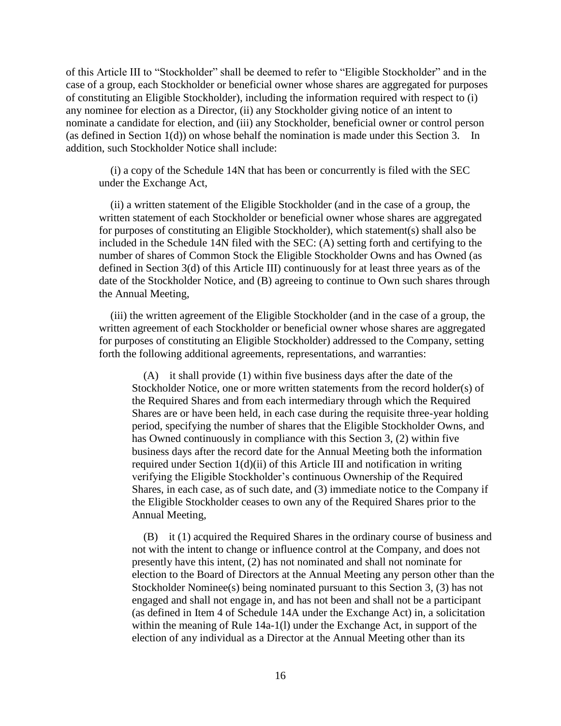of this Article III to "Stockholder" shall be deemed to refer to "Eligible Stockholder" and in the case of a group, each Stockholder or beneficial owner whose shares are aggregated for purposes of constituting an Eligible Stockholder), including the information required with respect to (i) any nominee for election as a Director, (ii) any Stockholder giving notice of an intent to nominate a candidate for election, and (iii) any Stockholder, beneficial owner or control person (as defined in Section 1(d)) on whose behalf the nomination is made under this Section 3. In addition, such Stockholder Notice shall include:

(i) a copy of the Schedule 14N that has been or concurrently is filed with the SEC under the Exchange Act,

(ii) a written statement of the Eligible Stockholder (and in the case of a group, the written statement of each Stockholder or beneficial owner whose shares are aggregated for purposes of constituting an Eligible Stockholder), which statement(s) shall also be included in the Schedule 14N filed with the SEC: (A) setting forth and certifying to the number of shares of Common Stock the Eligible Stockholder Owns and has Owned (as defined in Section 3(d) of this Article III) continuously for at least three years as of the date of the Stockholder Notice, and (B) agreeing to continue to Own such shares through the Annual Meeting,

(iii) the written agreement of the Eligible Stockholder (and in the case of a group, the written agreement of each Stockholder or beneficial owner whose shares are aggregated for purposes of constituting an Eligible Stockholder) addressed to the Company, setting forth the following additional agreements, representations, and warranties:

(A) it shall provide (1) within five business days after the date of the Stockholder Notice, one or more written statements from the record holder(s) of the Required Shares and from each intermediary through which the Required Shares are or have been held, in each case during the requisite three-year holding period, specifying the number of shares that the Eligible Stockholder Owns, and has Owned continuously in compliance with this Section 3, (2) within five business days after the record date for the Annual Meeting both the information required under Section  $1(d)(ii)$  of this Article III and notification in writing verifying the Eligible Stockholder's continuous Ownership of the Required Shares, in each case, as of such date, and (3) immediate notice to the Company if the Eligible Stockholder ceases to own any of the Required Shares prior to the Annual Meeting,

(B) it (1) acquired the Required Shares in the ordinary course of business and not with the intent to change or influence control at the Company, and does not presently have this intent, (2) has not nominated and shall not nominate for election to the Board of Directors at the Annual Meeting any person other than the Stockholder Nominee(s) being nominated pursuant to this Section 3, (3) has not engaged and shall not engage in, and has not been and shall not be a participant (as defined in Item 4 of Schedule 14A under the Exchange Act) in, a solicitation within the meaning of Rule 14a-1(l) under the Exchange Act, in support of the election of any individual as a Director at the Annual Meeting other than its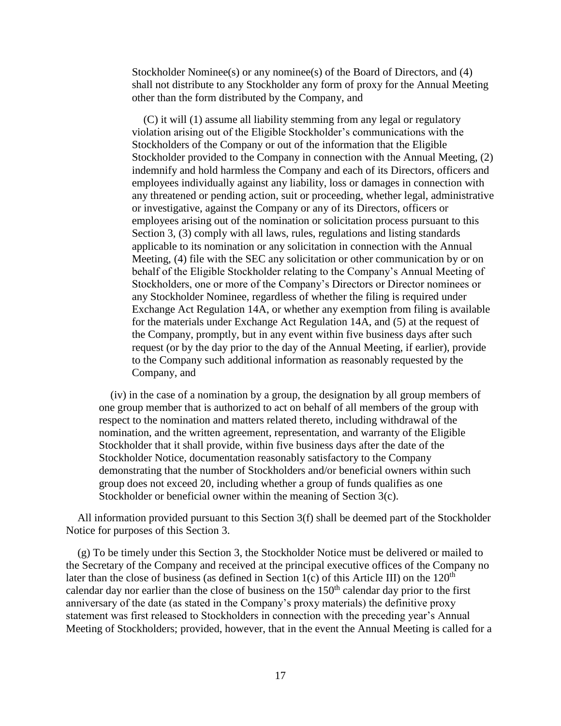Stockholder Nominee(s) or any nominee(s) of the Board of Directors, and (4) shall not distribute to any Stockholder any form of proxy for the Annual Meeting other than the form distributed by the Company, and

(C) it will (1) assume all liability stemming from any legal or regulatory violation arising out of the Eligible Stockholder's communications with the Stockholders of the Company or out of the information that the Eligible Stockholder provided to the Company in connection with the Annual Meeting, (2) indemnify and hold harmless the Company and each of its Directors, officers and employees individually against any liability, loss or damages in connection with any threatened or pending action, suit or proceeding, whether legal, administrative or investigative, against the Company or any of its Directors, officers or employees arising out of the nomination or solicitation process pursuant to this Section 3, (3) comply with all laws, rules, regulations and listing standards applicable to its nomination or any solicitation in connection with the Annual Meeting, (4) file with the SEC any solicitation or other communication by or on behalf of the Eligible Stockholder relating to the Company's Annual Meeting of Stockholders, one or more of the Company's Directors or Director nominees or any Stockholder Nominee, regardless of whether the filing is required under Exchange Act Regulation 14A, or whether any exemption from filing is available for the materials under Exchange Act Regulation 14A, and (5) at the request of the Company, promptly, but in any event within five business days after such request (or by the day prior to the day of the Annual Meeting, if earlier), provide to the Company such additional information as reasonably requested by the Company, and

(iv) in the case of a nomination by a group, the designation by all group members of one group member that is authorized to act on behalf of all members of the group with respect to the nomination and matters related thereto, including withdrawal of the nomination, and the written agreement, representation, and warranty of the Eligible Stockholder that it shall provide, within five business days after the date of the Stockholder Notice, documentation reasonably satisfactory to the Company demonstrating that the number of Stockholders and/or beneficial owners within such group does not exceed 20, including whether a group of funds qualifies as one Stockholder or beneficial owner within the meaning of Section 3(c).

All information provided pursuant to this Section 3(f) shall be deemed part of the Stockholder Notice for purposes of this Section 3.

(g) To be timely under this Section 3, the Stockholder Notice must be delivered or mailed to the Secretary of the Company and received at the principal executive offices of the Company no later than the close of business (as defined in Section 1(c) of this Article III) on the  $120<sup>th</sup>$ calendar day nor earlier than the close of business on the  $150<sup>th</sup>$  calendar day prior to the first anniversary of the date (as stated in the Company's proxy materials) the definitive proxy statement was first released to Stockholders in connection with the preceding year's Annual Meeting of Stockholders; provided, however, that in the event the Annual Meeting is called for a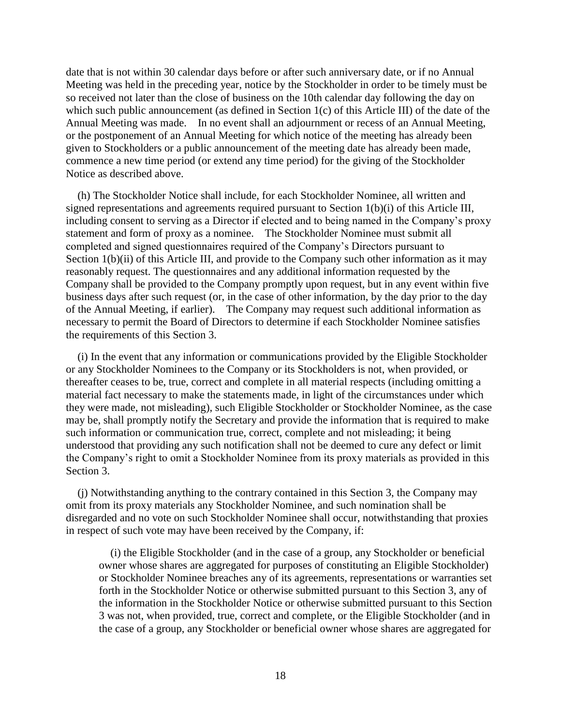date that is not within 30 calendar days before or after such anniversary date, or if no Annual Meeting was held in the preceding year, notice by the Stockholder in order to be timely must be so received not later than the close of business on the 10th calendar day following the day on which such public announcement (as defined in Section 1(c) of this Article III) of the date of the Annual Meeting was made. In no event shall an adjournment or recess of an Annual Meeting, or the postponement of an Annual Meeting for which notice of the meeting has already been given to Stockholders or a public announcement of the meeting date has already been made, commence a new time period (or extend any time period) for the giving of the Stockholder Notice as described above.

(h) The Stockholder Notice shall include, for each Stockholder Nominee, all written and signed representations and agreements required pursuant to Section 1(b)(i) of this Article III, including consent to serving as a Director if elected and to being named in the Company's proxy statement and form of proxy as a nominee. The Stockholder Nominee must submit all completed and signed questionnaires required of the Company's Directors pursuant to Section 1(b)(ii) of this Article III, and provide to the Company such other information as it may reasonably request. The questionnaires and any additional information requested by the Company shall be provided to the Company promptly upon request, but in any event within five business days after such request (or, in the case of other information, by the day prior to the day of the Annual Meeting, if earlier). The Company may request such additional information as necessary to permit the Board of Directors to determine if each Stockholder Nominee satisfies the requirements of this Section 3.

(i) In the event that any information or communications provided by the Eligible Stockholder or any Stockholder Nominees to the Company or its Stockholders is not, when provided, or thereafter ceases to be, true, correct and complete in all material respects (including omitting a material fact necessary to make the statements made, in light of the circumstances under which they were made, not misleading), such Eligible Stockholder or Stockholder Nominee, as the case may be, shall promptly notify the Secretary and provide the information that is required to make such information or communication true, correct, complete and not misleading; it being understood that providing any such notification shall not be deemed to cure any defect or limit the Company's right to omit a Stockholder Nominee from its proxy materials as provided in this Section 3.

(j) Notwithstanding anything to the contrary contained in this Section 3, the Company may omit from its proxy materials any Stockholder Nominee, and such nomination shall be disregarded and no vote on such Stockholder Nominee shall occur, notwithstanding that proxies in respect of such vote may have been received by the Company, if:

(i) the Eligible Stockholder (and in the case of a group, any Stockholder or beneficial owner whose shares are aggregated for purposes of constituting an Eligible Stockholder) or Stockholder Nominee breaches any of its agreements, representations or warranties set forth in the Stockholder Notice or otherwise submitted pursuant to this Section 3, any of the information in the Stockholder Notice or otherwise submitted pursuant to this Section 3 was not, when provided, true, correct and complete, or the Eligible Stockholder (and in the case of a group, any Stockholder or beneficial owner whose shares are aggregated for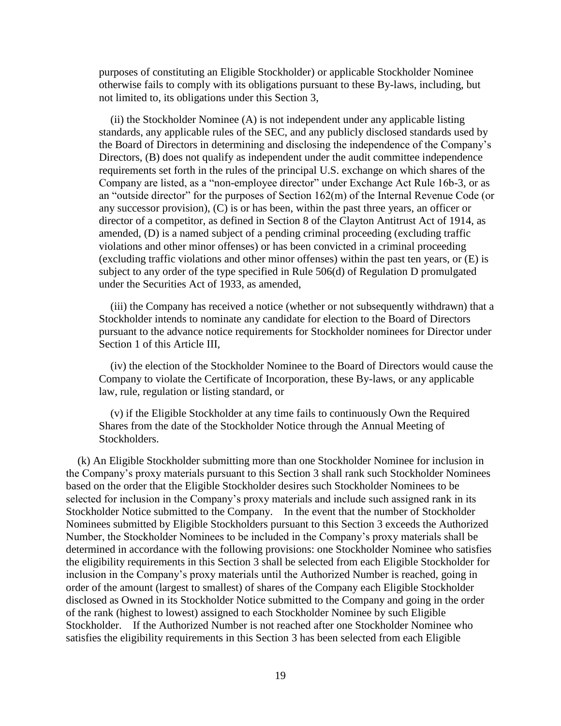purposes of constituting an Eligible Stockholder) or applicable Stockholder Nominee otherwise fails to comply with its obligations pursuant to these By-laws, including, but not limited to, its obligations under this Section 3,

(ii) the Stockholder Nominee (A) is not independent under any applicable listing standards, any applicable rules of the SEC, and any publicly disclosed standards used by the Board of Directors in determining and disclosing the independence of the Company's Directors, (B) does not qualify as independent under the audit committee independence requirements set forth in the rules of the principal U.S. exchange on which shares of the Company are listed, as a "non-employee director" under Exchange Act Rule 16b-3, or as an "outside director" for the purposes of Section 162(m) of the Internal Revenue Code (or any successor provision), (C) is or has been, within the past three years, an officer or director of a competitor, as defined in Section 8 of the Clayton Antitrust Act of 1914, as amended, (D) is a named subject of a pending criminal proceeding (excluding traffic violations and other minor offenses) or has been convicted in a criminal proceeding (excluding traffic violations and other minor offenses) within the past ten years, or (E) is subject to any order of the type specified in Rule 506(d) of Regulation D promulgated under the Securities Act of 1933, as amended,

(iii) the Company has received a notice (whether or not subsequently withdrawn) that a Stockholder intends to nominate any candidate for election to the Board of Directors pursuant to the advance notice requirements for Stockholder nominees for Director under Section 1 of this Article III,

(iv) the election of the Stockholder Nominee to the Board of Directors would cause the Company to violate the Certificate of Incorporation, these By-laws, or any applicable law, rule, regulation or listing standard, or

(v) if the Eligible Stockholder at any time fails to continuously Own the Required Shares from the date of the Stockholder Notice through the Annual Meeting of Stockholders.

(k) An Eligible Stockholder submitting more than one Stockholder Nominee for inclusion in the Company's proxy materials pursuant to this Section 3 shall rank such Stockholder Nominees based on the order that the Eligible Stockholder desires such Stockholder Nominees to be selected for inclusion in the Company's proxy materials and include such assigned rank in its Stockholder Notice submitted to the Company. In the event that the number of Stockholder Nominees submitted by Eligible Stockholders pursuant to this Section 3 exceeds the Authorized Number, the Stockholder Nominees to be included in the Company's proxy materials shall be determined in accordance with the following provisions: one Stockholder Nominee who satisfies the eligibility requirements in this Section 3 shall be selected from each Eligible Stockholder for inclusion in the Company's proxy materials until the Authorized Number is reached, going in order of the amount (largest to smallest) of shares of the Company each Eligible Stockholder disclosed as Owned in its Stockholder Notice submitted to the Company and going in the order of the rank (highest to lowest) assigned to each Stockholder Nominee by such Eligible Stockholder. If the Authorized Number is not reached after one Stockholder Nominee who satisfies the eligibility requirements in this Section 3 has been selected from each Eligible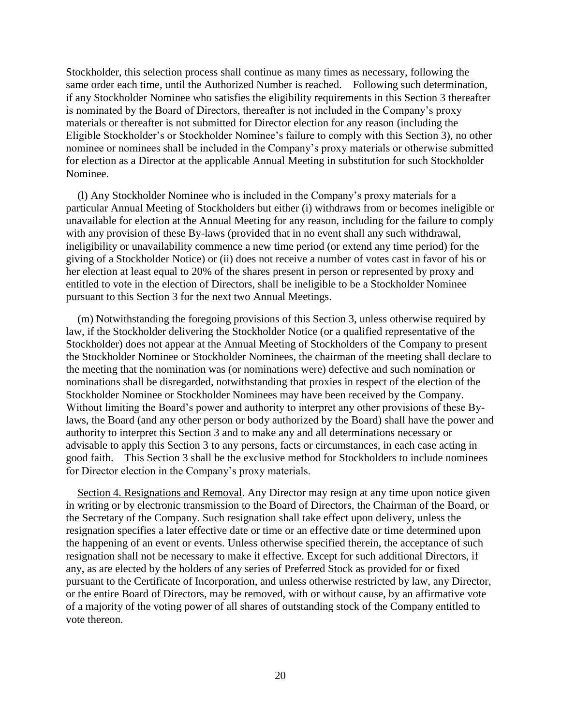Stockholder, this selection process shall continue as many times as necessary, following the same order each time, until the Authorized Number is reached. Following such determination, if any Stockholder Nominee who satisfies the eligibility requirements in this Section 3 thereafter is nominated by the Board of Directors, thereafter is not included in the Company's proxy materials or thereafter is not submitted for Director election for any reason (including the Eligible Stockholder's or Stockholder Nominee's failure to comply with this Section 3), no other nominee or nominees shall be included in the Company's proxy materials or otherwise submitted for election as a Director at the applicable Annual Meeting in substitution for such Stockholder Nominee.

(l) Any Stockholder Nominee who is included in the Company's proxy materials for a particular Annual Meeting of Stockholders but either (i) withdraws from or becomes ineligible or unavailable for election at the Annual Meeting for any reason, including for the failure to comply with any provision of these By-laws (provided that in no event shall any such withdrawal, ineligibility or unavailability commence a new time period (or extend any time period) for the giving of a Stockholder Notice) or (ii) does not receive a number of votes cast in favor of his or her election at least equal to 20% of the shares present in person or represented by proxy and entitled to vote in the election of Directors, shall be ineligible to be a Stockholder Nominee pursuant to this Section 3 for the next two Annual Meetings.

(m) Notwithstanding the foregoing provisions of this Section 3, unless otherwise required by law, if the Stockholder delivering the Stockholder Notice (or a qualified representative of the Stockholder) does not appear at the Annual Meeting of Stockholders of the Company to present the Stockholder Nominee or Stockholder Nominees, the chairman of the meeting shall declare to the meeting that the nomination was (or nominations were) defective and such nomination or nominations shall be disregarded, notwithstanding that proxies in respect of the election of the Stockholder Nominee or Stockholder Nominees may have been received by the Company. Without limiting the Board's power and authority to interpret any other provisions of these Bylaws, the Board (and any other person or body authorized by the Board) shall have the power and authority to interpret this Section 3 and to make any and all determinations necessary or advisable to apply this Section 3 to any persons, facts or circumstances, in each case acting in good faith. This Section 3 shall be the exclusive method for Stockholders to include nominees for Director election in the Company's proxy materials.

Section 4. Resignations and Removal. Any Director may resign at any time upon notice given in writing or by electronic transmission to the Board of Directors, the Chairman of the Board, or the Secretary of the Company. Such resignation shall take effect upon delivery, unless the resignation specifies a later effective date or time or an effective date or time determined upon the happening of an event or events. Unless otherwise specified therein, the acceptance of such resignation shall not be necessary to make it effective. Except for such additional Directors, if any, as are elected by the holders of any series of Preferred Stock as provided for or fixed pursuant to the Certificate of Incorporation, and unless otherwise restricted by law, any Director, or the entire Board of Directors, may be removed, with or without cause, by an affirmative vote of a majority of the voting power of all shares of outstanding stock of the Company entitled to vote thereon.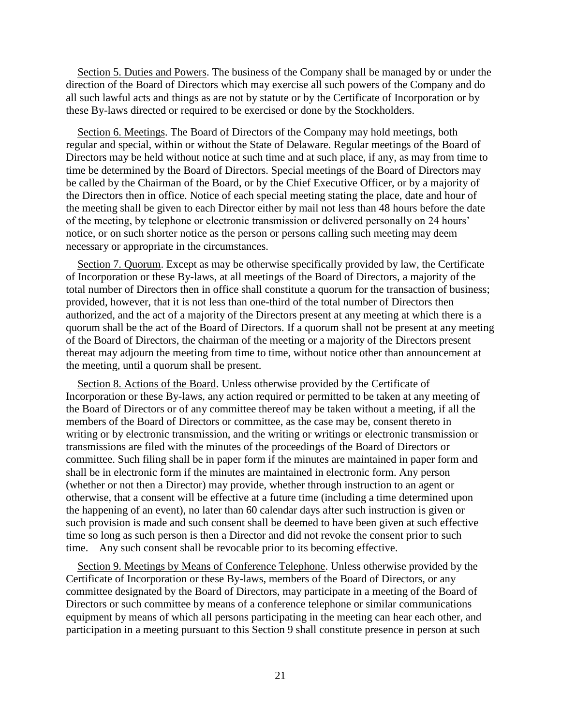Section 5. Duties and Powers. The business of the Company shall be managed by or under the direction of the Board of Directors which may exercise all such powers of the Company and do all such lawful acts and things as are not by statute or by the Certificate of Incorporation or by these By-laws directed or required to be exercised or done by the Stockholders.

Section 6. Meetings. The Board of Directors of the Company may hold meetings, both regular and special, within or without the State of Delaware. Regular meetings of the Board of Directors may be held without notice at such time and at such place, if any, as may from time to time be determined by the Board of Directors. Special meetings of the Board of Directors may be called by the Chairman of the Board, or by the Chief Executive Officer, or by a majority of the Directors then in office. Notice of each special meeting stating the place, date and hour of the meeting shall be given to each Director either by mail not less than 48 hours before the date of the meeting, by telephone or electronic transmission or delivered personally on 24 hours' notice, or on such shorter notice as the person or persons calling such meeting may deem necessary or appropriate in the circumstances.

Section 7. Quorum. Except as may be otherwise specifically provided by law, the Certificate of Incorporation or these By-laws, at all meetings of the Board of Directors, a majority of the total number of Directors then in office shall constitute a quorum for the transaction of business; provided, however, that it is not less than one-third of the total number of Directors then authorized, and the act of a majority of the Directors present at any meeting at which there is a quorum shall be the act of the Board of Directors. If a quorum shall not be present at any meeting of the Board of Directors, the chairman of the meeting or a majority of the Directors present thereat may adjourn the meeting from time to time, without notice other than announcement at the meeting, until a quorum shall be present.

Section 8. Actions of the Board. Unless otherwise provided by the Certificate of Incorporation or these By-laws, any action required or permitted to be taken at any meeting of the Board of Directors or of any committee thereof may be taken without a meeting, if all the members of the Board of Directors or committee, as the case may be, consent thereto in writing or by electronic transmission, and the writing or writings or electronic transmission or transmissions are filed with the minutes of the proceedings of the Board of Directors or committee. Such filing shall be in paper form if the minutes are maintained in paper form and shall be in electronic form if the minutes are maintained in electronic form. Any person (whether or not then a Director) may provide, whether through instruction to an agent or otherwise, that a consent will be effective at a future time (including a time determined upon the happening of an event), no later than 60 calendar days after such instruction is given or such provision is made and such consent shall be deemed to have been given at such effective time so long as such person is then a Director and did not revoke the consent prior to such time. Any such consent shall be revocable prior to its becoming effective.

Section 9. Meetings by Means of Conference Telephone. Unless otherwise provided by the Certificate of Incorporation or these By-laws, members of the Board of Directors, or any committee designated by the Board of Directors, may participate in a meeting of the Board of Directors or such committee by means of a conference telephone or similar communications equipment by means of which all persons participating in the meeting can hear each other, and participation in a meeting pursuant to this Section 9 shall constitute presence in person at such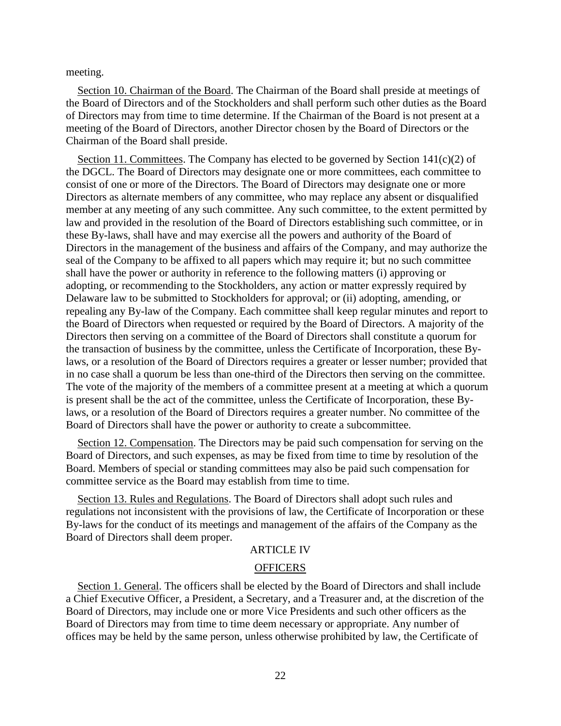meeting.

Section 10. Chairman of the Board. The Chairman of the Board shall preside at meetings of the Board of Directors and of the Stockholders and shall perform such other duties as the Board of Directors may from time to time determine. If the Chairman of the Board is not present at a meeting of the Board of Directors, another Director chosen by the Board of Directors or the Chairman of the Board shall preside.

Section 11. Committees. The Company has elected to be governed by Section  $141(c)(2)$  of the DGCL. The Board of Directors may designate one or more committees, each committee to consist of one or more of the Directors. The Board of Directors may designate one or more Directors as alternate members of any committee, who may replace any absent or disqualified member at any meeting of any such committee. Any such committee, to the extent permitted by law and provided in the resolution of the Board of Directors establishing such committee, or in these By-laws, shall have and may exercise all the powers and authority of the Board of Directors in the management of the business and affairs of the Company, and may authorize the seal of the Company to be affixed to all papers which may require it; but no such committee shall have the power or authority in reference to the following matters (i) approving or adopting, or recommending to the Stockholders, any action or matter expressly required by Delaware law to be submitted to Stockholders for approval; or (ii) adopting, amending, or repealing any By-law of the Company. Each committee shall keep regular minutes and report to the Board of Directors when requested or required by the Board of Directors. A majority of the Directors then serving on a committee of the Board of Directors shall constitute a quorum for the transaction of business by the committee, unless the Certificate of Incorporation, these Bylaws, or a resolution of the Board of Directors requires a greater or lesser number; provided that in no case shall a quorum be less than one-third of the Directors then serving on the committee. The vote of the majority of the members of a committee present at a meeting at which a quorum is present shall be the act of the committee, unless the Certificate of Incorporation, these Bylaws, or a resolution of the Board of Directors requires a greater number. No committee of the Board of Directors shall have the power or authority to create a subcommittee.

Section 12. Compensation. The Directors may be paid such compensation for serving on the Board of Directors, and such expenses, as may be fixed from time to time by resolution of the Board. Members of special or standing committees may also be paid such compensation for committee service as the Board may establish from time to time.

Section 13. Rules and Regulations. The Board of Directors shall adopt such rules and regulations not inconsistent with the provisions of law, the Certificate of Incorporation or these By-laws for the conduct of its meetings and management of the affairs of the Company as the Board of Directors shall deem proper.

## ARTICLE IV

#### **OFFICERS**

Section 1. General. The officers shall be elected by the Board of Directors and shall include a Chief Executive Officer, a President, a Secretary, and a Treasurer and, at the discretion of the Board of Directors, may include one or more Vice Presidents and such other officers as the Board of Directors may from time to time deem necessary or appropriate. Any number of offices may be held by the same person, unless otherwise prohibited by law, the Certificate of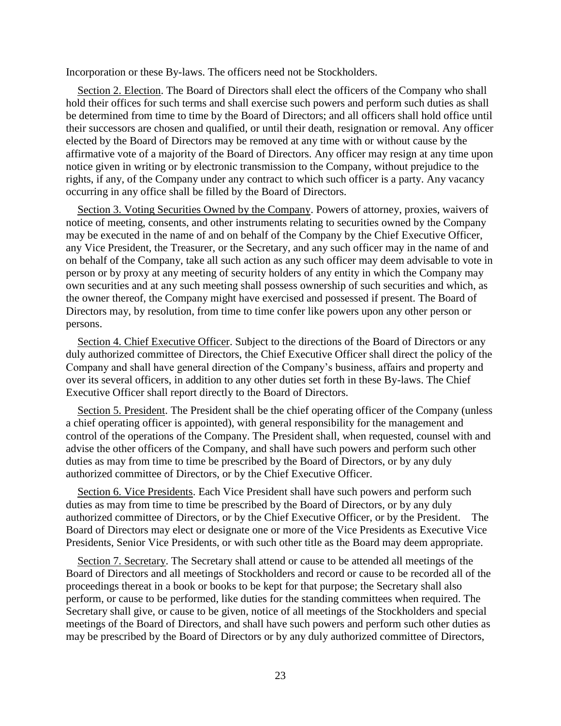Incorporation or these By-laws. The officers need not be Stockholders.

Section 2. Election. The Board of Directors shall elect the officers of the Company who shall hold their offices for such terms and shall exercise such powers and perform such duties as shall be determined from time to time by the Board of Directors; and all officers shall hold office until their successors are chosen and qualified, or until their death, resignation or removal. Any officer elected by the Board of Directors may be removed at any time with or without cause by the affirmative vote of a majority of the Board of Directors. Any officer may resign at any time upon notice given in writing or by electronic transmission to the Company, without prejudice to the rights, if any, of the Company under any contract to which such officer is a party. Any vacancy occurring in any office shall be filled by the Board of Directors.

Section 3. Voting Securities Owned by the Company. Powers of attorney, proxies, waivers of notice of meeting, consents, and other instruments relating to securities owned by the Company may be executed in the name of and on behalf of the Company by the Chief Executive Officer, any Vice President, the Treasurer, or the Secretary, and any such officer may in the name of and on behalf of the Company, take all such action as any such officer may deem advisable to vote in person or by proxy at any meeting of security holders of any entity in which the Company may own securities and at any such meeting shall possess ownership of such securities and which, as the owner thereof, the Company might have exercised and possessed if present. The Board of Directors may, by resolution, from time to time confer like powers upon any other person or persons.

Section 4. Chief Executive Officer. Subject to the directions of the Board of Directors or any duly authorized committee of Directors, the Chief Executive Officer shall direct the policy of the Company and shall have general direction of the Company's business, affairs and property and over its several officers, in addition to any other duties set forth in these By-laws. The Chief Executive Officer shall report directly to the Board of Directors.

Section 5. President. The President shall be the chief operating officer of the Company (unless a chief operating officer is appointed), with general responsibility for the management and control of the operations of the Company. The President shall, when requested, counsel with and advise the other officers of the Company, and shall have such powers and perform such other duties as may from time to time be prescribed by the Board of Directors, or by any duly authorized committee of Directors, or by the Chief Executive Officer.

Section 6. Vice Presidents. Each Vice President shall have such powers and perform such duties as may from time to time be prescribed by the Board of Directors, or by any duly authorized committee of Directors, or by the Chief Executive Officer, or by the President. The Board of Directors may elect or designate one or more of the Vice Presidents as Executive Vice Presidents, Senior Vice Presidents, or with such other title as the Board may deem appropriate.

Section 7. Secretary. The Secretary shall attend or cause to be attended all meetings of the Board of Directors and all meetings of Stockholders and record or cause to be recorded all of the proceedings thereat in a book or books to be kept for that purpose; the Secretary shall also perform, or cause to be performed, like duties for the standing committees when required. The Secretary shall give, or cause to be given, notice of all meetings of the Stockholders and special meetings of the Board of Directors, and shall have such powers and perform such other duties as may be prescribed by the Board of Directors or by any duly authorized committee of Directors,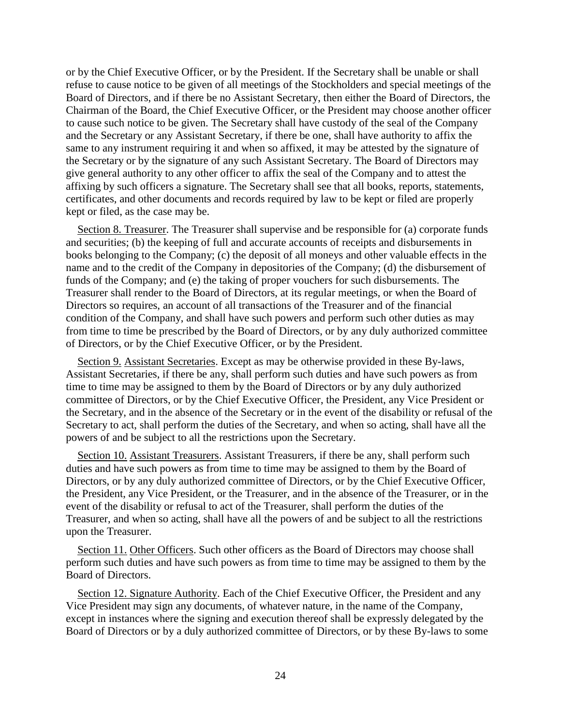or by the Chief Executive Officer, or by the President. If the Secretary shall be unable or shall refuse to cause notice to be given of all meetings of the Stockholders and special meetings of the Board of Directors, and if there be no Assistant Secretary, then either the Board of Directors, the Chairman of the Board, the Chief Executive Officer, or the President may choose another officer to cause such notice to be given. The Secretary shall have custody of the seal of the Company and the Secretary or any Assistant Secretary, if there be one, shall have authority to affix the same to any instrument requiring it and when so affixed, it may be attested by the signature of the Secretary or by the signature of any such Assistant Secretary. The Board of Directors may give general authority to any other officer to affix the seal of the Company and to attest the affixing by such officers a signature. The Secretary shall see that all books, reports, statements, certificates, and other documents and records required by law to be kept or filed are properly kept or filed, as the case may be.

Section 8. Treasurer. The Treasurer shall supervise and be responsible for (a) corporate funds and securities; (b) the keeping of full and accurate accounts of receipts and disbursements in books belonging to the Company; (c) the deposit of all moneys and other valuable effects in the name and to the credit of the Company in depositories of the Company; (d) the disbursement of funds of the Company; and (e) the taking of proper vouchers for such disbursements. The Treasurer shall render to the Board of Directors, at its regular meetings, or when the Board of Directors so requires, an account of all transactions of the Treasurer and of the financial condition of the Company, and shall have such powers and perform such other duties as may from time to time be prescribed by the Board of Directors, or by any duly authorized committee of Directors, or by the Chief Executive Officer, or by the President.

Section 9. Assistant Secretaries. Except as may be otherwise provided in these By-laws, Assistant Secretaries, if there be any, shall perform such duties and have such powers as from time to time may be assigned to them by the Board of Directors or by any duly authorized committee of Directors, or by the Chief Executive Officer, the President, any Vice President or the Secretary, and in the absence of the Secretary or in the event of the disability or refusal of the Secretary to act, shall perform the duties of the Secretary, and when so acting, shall have all the powers of and be subject to all the restrictions upon the Secretary.

Section 10. Assistant Treasurers. Assistant Treasurers, if there be any, shall perform such duties and have such powers as from time to time may be assigned to them by the Board of Directors, or by any duly authorized committee of Directors, or by the Chief Executive Officer, the President, any Vice President, or the Treasurer, and in the absence of the Treasurer, or in the event of the disability or refusal to act of the Treasurer, shall perform the duties of the Treasurer, and when so acting, shall have all the powers of and be subject to all the restrictions upon the Treasurer.

Section 11. Other Officers. Such other officers as the Board of Directors may choose shall perform such duties and have such powers as from time to time may be assigned to them by the Board of Directors.

Section 12. Signature Authority. Each of the Chief Executive Officer, the President and any Vice President may sign any documents, of whatever nature, in the name of the Company, except in instances where the signing and execution thereof shall be expressly delegated by the Board of Directors or by a duly authorized committee of Directors, or by these By-laws to some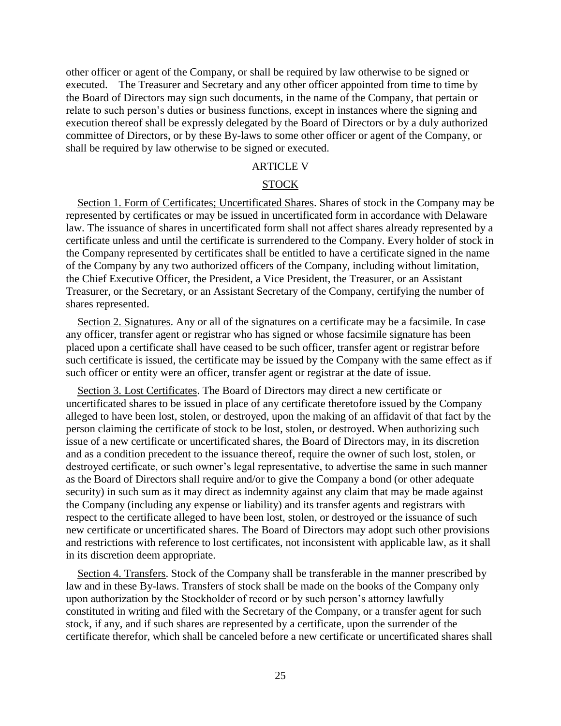other officer or agent of the Company, or shall be required by law otherwise to be signed or executed. The Treasurer and Secretary and any other officer appointed from time to time by the Board of Directors may sign such documents, in the name of the Company, that pertain or relate to such person's duties or business functions, except in instances where the signing and execution thereof shall be expressly delegated by the Board of Directors or by a duly authorized committee of Directors, or by these By-laws to some other officer or agent of the Company, or shall be required by law otherwise to be signed or executed.

# ARTICLE V

# STOCK

Section 1. Form of Certificates; Uncertificated Shares. Shares of stock in the Company may be represented by certificates or may be issued in uncertificated form in accordance with Delaware law. The issuance of shares in uncertificated form shall not affect shares already represented by a certificate unless and until the certificate is surrendered to the Company. Every holder of stock in the Company represented by certificates shall be entitled to have a certificate signed in the name of the Company by any two authorized officers of the Company, including without limitation, the Chief Executive Officer, the President, a Vice President, the Treasurer, or an Assistant Treasurer, or the Secretary, or an Assistant Secretary of the Company, certifying the number of shares represented.

Section 2. Signatures. Any or all of the signatures on a certificate may be a facsimile. In case any officer, transfer agent or registrar who has signed or whose facsimile signature has been placed upon a certificate shall have ceased to be such officer, transfer agent or registrar before such certificate is issued, the certificate may be issued by the Company with the same effect as if such officer or entity were an officer, transfer agent or registrar at the date of issue.

Section 3. Lost Certificates. The Board of Directors may direct a new certificate or uncertificated shares to be issued in place of any certificate theretofore issued by the Company alleged to have been lost, stolen, or destroyed, upon the making of an affidavit of that fact by the person claiming the certificate of stock to be lost, stolen, or destroyed. When authorizing such issue of a new certificate or uncertificated shares, the Board of Directors may, in its discretion and as a condition precedent to the issuance thereof, require the owner of such lost, stolen, or destroyed certificate, or such owner's legal representative, to advertise the same in such manner as the Board of Directors shall require and/or to give the Company a bond (or other adequate security) in such sum as it may direct as indemnity against any claim that may be made against the Company (including any expense or liability) and its transfer agents and registrars with respect to the certificate alleged to have been lost, stolen, or destroyed or the issuance of such new certificate or uncertificated shares. The Board of Directors may adopt such other provisions and restrictions with reference to lost certificates, not inconsistent with applicable law, as it shall in its discretion deem appropriate.

Section 4. Transfers. Stock of the Company shall be transferable in the manner prescribed by law and in these By-laws. Transfers of stock shall be made on the books of the Company only upon authorization by the Stockholder of record or by such person's attorney lawfully constituted in writing and filed with the Secretary of the Company, or a transfer agent for such stock, if any, and if such shares are represented by a certificate, upon the surrender of the certificate therefor, which shall be canceled before a new certificate or uncertificated shares shall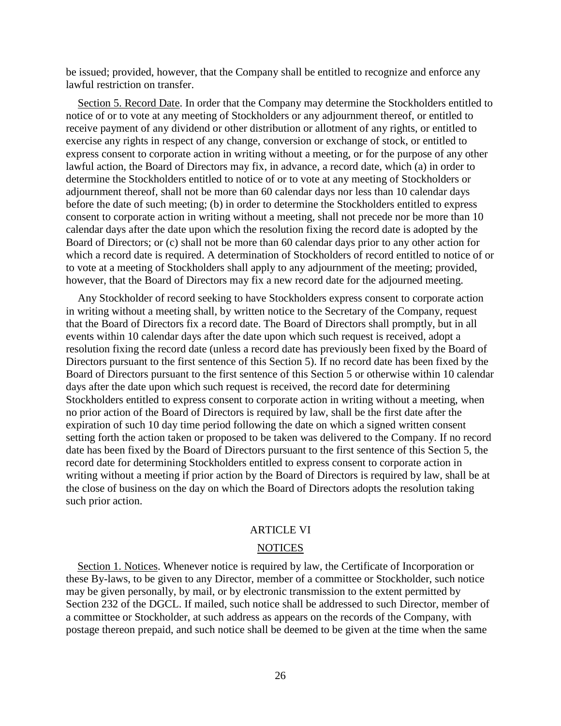be issued; provided, however, that the Company shall be entitled to recognize and enforce any lawful restriction on transfer.

Section 5. Record Date. In order that the Company may determine the Stockholders entitled to notice of or to vote at any meeting of Stockholders or any adjournment thereof, or entitled to receive payment of any dividend or other distribution or allotment of any rights, or entitled to exercise any rights in respect of any change, conversion or exchange of stock, or entitled to express consent to corporate action in writing without a meeting, or for the purpose of any other lawful action, the Board of Directors may fix, in advance, a record date, which (a) in order to determine the Stockholders entitled to notice of or to vote at any meeting of Stockholders or adjournment thereof, shall not be more than 60 calendar days nor less than 10 calendar days before the date of such meeting; (b) in order to determine the Stockholders entitled to express consent to corporate action in writing without a meeting, shall not precede nor be more than 10 calendar days after the date upon which the resolution fixing the record date is adopted by the Board of Directors; or (c) shall not be more than 60 calendar days prior to any other action for which a record date is required. A determination of Stockholders of record entitled to notice of or to vote at a meeting of Stockholders shall apply to any adjournment of the meeting; provided, however, that the Board of Directors may fix a new record date for the adjourned meeting.

Any Stockholder of record seeking to have Stockholders express consent to corporate action in writing without a meeting shall, by written notice to the Secretary of the Company, request that the Board of Directors fix a record date. The Board of Directors shall promptly, but in all events within 10 calendar days after the date upon which such request is received, adopt a resolution fixing the record date (unless a record date has previously been fixed by the Board of Directors pursuant to the first sentence of this Section 5). If no record date has been fixed by the Board of Directors pursuant to the first sentence of this Section 5 or otherwise within 10 calendar days after the date upon which such request is received, the record date for determining Stockholders entitled to express consent to corporate action in writing without a meeting, when no prior action of the Board of Directors is required by law, shall be the first date after the expiration of such 10 day time period following the date on which a signed written consent setting forth the action taken or proposed to be taken was delivered to the Company. If no record date has been fixed by the Board of Directors pursuant to the first sentence of this Section 5, the record date for determining Stockholders entitled to express consent to corporate action in writing without a meeting if prior action by the Board of Directors is required by law, shall be at the close of business on the day on which the Board of Directors adopts the resolution taking such prior action.

## ARTICLE VI

### **NOTICES**

Section 1. Notices. Whenever notice is required by law, the Certificate of Incorporation or these By-laws, to be given to any Director, member of a committee or Stockholder, such notice may be given personally, by mail, or by electronic transmission to the extent permitted by Section 232 of the DGCL. If mailed, such notice shall be addressed to such Director, member of a committee or Stockholder, at such address as appears on the records of the Company, with postage thereon prepaid, and such notice shall be deemed to be given at the time when the same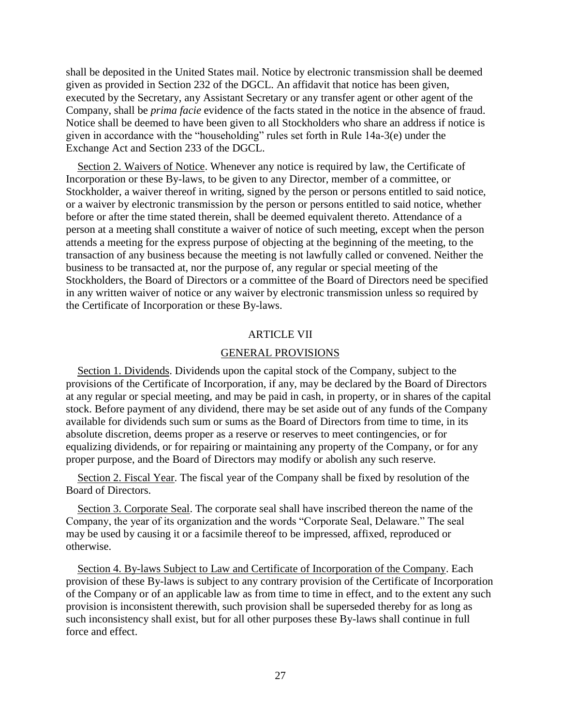shall be deposited in the United States mail. Notice by electronic transmission shall be deemed given as provided in Section 232 of the DGCL. An affidavit that notice has been given, executed by the Secretary, any Assistant Secretary or any transfer agent or other agent of the Company, shall be *prima facie* evidence of the facts stated in the notice in the absence of fraud. Notice shall be deemed to have been given to all Stockholders who share an address if notice is given in accordance with the "householding" rules set forth in Rule 14a-3(e) under the Exchange Act and Section 233 of the DGCL.

Section 2. Waivers of Notice. Whenever any notice is required by law, the Certificate of Incorporation or these By-laws, to be given to any Director, member of a committee, or Stockholder, a waiver thereof in writing, signed by the person or persons entitled to said notice, or a waiver by electronic transmission by the person or persons entitled to said notice, whether before or after the time stated therein, shall be deemed equivalent thereto. Attendance of a person at a meeting shall constitute a waiver of notice of such meeting, except when the person attends a meeting for the express purpose of objecting at the beginning of the meeting, to the transaction of any business because the meeting is not lawfully called or convened. Neither the business to be transacted at, nor the purpose of, any regular or special meeting of the Stockholders, the Board of Directors or a committee of the Board of Directors need be specified in any written waiver of notice or any waiver by electronic transmission unless so required by the Certificate of Incorporation or these By-laws.

## ARTICLE VII

## GENERAL PROVISIONS

Section 1. Dividends. Dividends upon the capital stock of the Company, subject to the provisions of the Certificate of Incorporation, if any, may be declared by the Board of Directors at any regular or special meeting, and may be paid in cash, in property, or in shares of the capital stock. Before payment of any dividend, there may be set aside out of any funds of the Company available for dividends such sum or sums as the Board of Directors from time to time, in its absolute discretion, deems proper as a reserve or reserves to meet contingencies, or for equalizing dividends, or for repairing or maintaining any property of the Company, or for any proper purpose, and the Board of Directors may modify or abolish any such reserve.

Section 2. Fiscal Year. The fiscal year of the Company shall be fixed by resolution of the Board of Directors.

Section 3. Corporate Seal. The corporate seal shall have inscribed thereon the name of the Company, the year of its organization and the words "Corporate Seal, Delaware." The seal may be used by causing it or a facsimile thereof to be impressed, affixed, reproduced or otherwise.

Section 4. By-laws Subject to Law and Certificate of Incorporation of the Company. Each provision of these By-laws is subject to any contrary provision of the Certificate of Incorporation of the Company or of an applicable law as from time to time in effect, and to the extent any such provision is inconsistent therewith, such provision shall be superseded thereby for as long as such inconsistency shall exist, but for all other purposes these By-laws shall continue in full force and effect.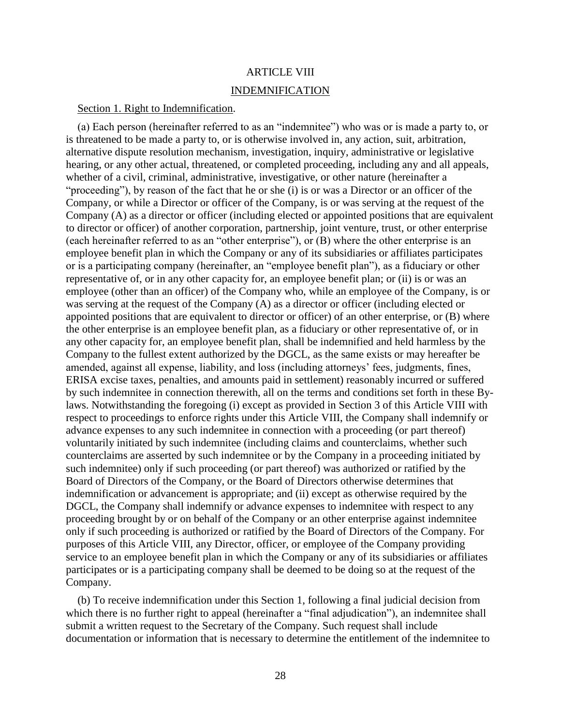# ARTICLE VIII

## INDEMNIFICATION

## Section 1. Right to Indemnification.

(a) Each person (hereinafter referred to as an "indemnitee") who was or is made a party to, or is threatened to be made a party to, or is otherwise involved in, any action, suit, arbitration, alternative dispute resolution mechanism, investigation, inquiry, administrative or legislative hearing, or any other actual, threatened, or completed proceeding, including any and all appeals, whether of a civil, criminal, administrative, investigative, or other nature (hereinafter a "proceeding"), by reason of the fact that he or she (i) is or was a Director or an officer of the Company, or while a Director or officer of the Company, is or was serving at the request of the Company (A) as a director or officer (including elected or appointed positions that are equivalent to director or officer) of another corporation, partnership, joint venture, trust, or other enterprise (each hereinafter referred to as an "other enterprise"), or (B) where the other enterprise is an employee benefit plan in which the Company or any of its subsidiaries or affiliates participates or is a participating company (hereinafter, an "employee benefit plan"), as a fiduciary or other representative of, or in any other capacity for, an employee benefit plan; or (ii) is or was an employee (other than an officer) of the Company who, while an employee of the Company, is or was serving at the request of the Company (A) as a director or officer (including elected or appointed positions that are equivalent to director or officer) of an other enterprise, or (B) where the other enterprise is an employee benefit plan, as a fiduciary or other representative of, or in any other capacity for, an employee benefit plan, shall be indemnified and held harmless by the Company to the fullest extent authorized by the DGCL, as the same exists or may hereafter be amended, against all expense, liability, and loss (including attorneys' fees, judgments, fines, ERISA excise taxes, penalties, and amounts paid in settlement) reasonably incurred or suffered by such indemnitee in connection therewith, all on the terms and conditions set forth in these Bylaws. Notwithstanding the foregoing (i) except as provided in Section 3 of this Article VIII with respect to proceedings to enforce rights under this Article VIII, the Company shall indemnify or advance expenses to any such indemnitee in connection with a proceeding (or part thereof) voluntarily initiated by such indemnitee (including claims and counterclaims, whether such counterclaims are asserted by such indemnitee or by the Company in a proceeding initiated by such indemnitee) only if such proceeding (or part thereof) was authorized or ratified by the Board of Directors of the Company, or the Board of Directors otherwise determines that indemnification or advancement is appropriate; and (ii) except as otherwise required by the DGCL, the Company shall indemnify or advance expenses to indemnitee with respect to any proceeding brought by or on behalf of the Company or an other enterprise against indemnitee only if such proceeding is authorized or ratified by the Board of Directors of the Company. For purposes of this Article VIII, any Director, officer, or employee of the Company providing service to an employee benefit plan in which the Company or any of its subsidiaries or affiliates participates or is a participating company shall be deemed to be doing so at the request of the Company.

(b) To receive indemnification under this Section 1, following a final judicial decision from which there is no further right to appeal (hereinafter a "final adjudication"), an indemnitee shall submit a written request to the Secretary of the Company. Such request shall include documentation or information that is necessary to determine the entitlement of the indemnitee to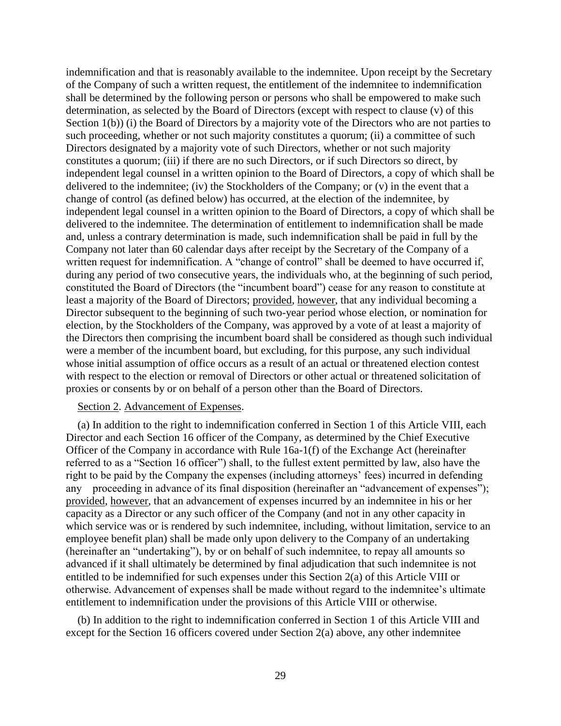indemnification and that is reasonably available to the indemnitee. Upon receipt by the Secretary of the Company of such a written request, the entitlement of the indemnitee to indemnification shall be determined by the following person or persons who shall be empowered to make such determination, as selected by the Board of Directors (except with respect to clause (v) of this Section 1(b)) (i) the Board of Directors by a majority vote of the Directors who are not parties to such proceeding, whether or not such majority constitutes a quorum; (ii) a committee of such Directors designated by a majority vote of such Directors, whether or not such majority constitutes a quorum; (iii) if there are no such Directors, or if such Directors so direct, by independent legal counsel in a written opinion to the Board of Directors, a copy of which shall be delivered to the indemnitee; (iv) the Stockholders of the Company; or (v) in the event that a change of control (as defined below) has occurred, at the election of the indemnitee, by independent legal counsel in a written opinion to the Board of Directors, a copy of which shall be delivered to the indemnitee. The determination of entitlement to indemnification shall be made and, unless a contrary determination is made, such indemnification shall be paid in full by the Company not later than 60 calendar days after receipt by the Secretary of the Company of a written request for indemnification. A "change of control" shall be deemed to have occurred if, during any period of two consecutive years, the individuals who, at the beginning of such period, constituted the Board of Directors (the "incumbent board") cease for any reason to constitute at least a majority of the Board of Directors; provided, however, that any individual becoming a Director subsequent to the beginning of such two-year period whose election, or nomination for election, by the Stockholders of the Company, was approved by a vote of at least a majority of the Directors then comprising the incumbent board shall be considered as though such individual were a member of the incumbent board, but excluding, for this purpose, any such individual whose initial assumption of office occurs as a result of an actual or threatened election contest with respect to the election or removal of Directors or other actual or threatened solicitation of proxies or consents by or on behalf of a person other than the Board of Directors.

### Section 2. Advancement of Expenses.

(a) In addition to the right to indemnification conferred in Section 1 of this Article VIII, each Director and each Section 16 officer of the Company, as determined by the Chief Executive Officer of the Company in accordance with Rule 16a-1(f) of the Exchange Act (hereinafter referred to as a "Section 16 officer") shall, to the fullest extent permitted by law, also have the right to be paid by the Company the expenses (including attorneys' fees) incurred in defending any proceeding in advance of its final disposition (hereinafter an "advancement of expenses"); provided, however, that an advancement of expenses incurred by an indemnitee in his or her capacity as a Director or any such officer of the Company (and not in any other capacity in which service was or is rendered by such indemnitee, including, without limitation, service to an employee benefit plan) shall be made only upon delivery to the Company of an undertaking (hereinafter an "undertaking"), by or on behalf of such indemnitee, to repay all amounts so advanced if it shall ultimately be determined by final adjudication that such indemnitee is not entitled to be indemnified for such expenses under this Section 2(a) of this Article VIII or otherwise. Advancement of expenses shall be made without regard to the indemnitee's ultimate entitlement to indemnification under the provisions of this Article VIII or otherwise.

(b) In addition to the right to indemnification conferred in Section 1 of this Article VIII and except for the Section 16 officers covered under Section 2(a) above, any other indemnitee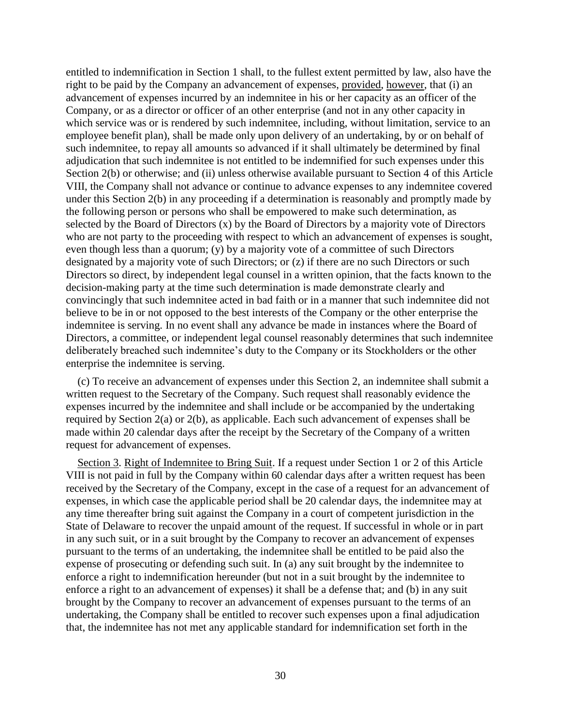entitled to indemnification in Section 1 shall, to the fullest extent permitted by law, also have the right to be paid by the Company an advancement of expenses, provided, however, that (i) an advancement of expenses incurred by an indemnitee in his or her capacity as an officer of the Company, or as a director or officer of an other enterprise (and not in any other capacity in which service was or is rendered by such indemnitee, including, without limitation, service to an employee benefit plan), shall be made only upon delivery of an undertaking, by or on behalf of such indemnitee, to repay all amounts so advanced if it shall ultimately be determined by final adjudication that such indemnitee is not entitled to be indemnified for such expenses under this Section 2(b) or otherwise; and (ii) unless otherwise available pursuant to Section 4 of this Article VIII, the Company shall not advance or continue to advance expenses to any indemnitee covered under this Section 2(b) in any proceeding if a determination is reasonably and promptly made by the following person or persons who shall be empowered to make such determination, as selected by the Board of Directors (x) by the Board of Directors by a majority vote of Directors who are not party to the proceeding with respect to which an advancement of expenses is sought, even though less than a quorum; (y) by a majority vote of a committee of such Directors designated by a majority vote of such Directors; or (z) if there are no such Directors or such Directors so direct, by independent legal counsel in a written opinion, that the facts known to the decision-making party at the time such determination is made demonstrate clearly and convincingly that such indemnitee acted in bad faith or in a manner that such indemnitee did not believe to be in or not opposed to the best interests of the Company or the other enterprise the indemnitee is serving. In no event shall any advance be made in instances where the Board of Directors, a committee, or independent legal counsel reasonably determines that such indemnitee deliberately breached such indemnitee's duty to the Company or its Stockholders or the other enterprise the indemnitee is serving.

(c) To receive an advancement of expenses under this Section 2, an indemnitee shall submit a written request to the Secretary of the Company. Such request shall reasonably evidence the expenses incurred by the indemnitee and shall include or be accompanied by the undertaking required by Section 2(a) or 2(b), as applicable. Each such advancement of expenses shall be made within 20 calendar days after the receipt by the Secretary of the Company of a written request for advancement of expenses.

Section 3. Right of Indemnitee to Bring Suit. If a request under Section 1 or 2 of this Article VIII is not paid in full by the Company within 60 calendar days after a written request has been received by the Secretary of the Company, except in the case of a request for an advancement of expenses, in which case the applicable period shall be 20 calendar days, the indemnitee may at any time thereafter bring suit against the Company in a court of competent jurisdiction in the State of Delaware to recover the unpaid amount of the request. If successful in whole or in part in any such suit, or in a suit brought by the Company to recover an advancement of expenses pursuant to the terms of an undertaking, the indemnitee shall be entitled to be paid also the expense of prosecuting or defending such suit. In (a) any suit brought by the indemnitee to enforce a right to indemnification hereunder (but not in a suit brought by the indemnitee to enforce a right to an advancement of expenses) it shall be a defense that; and (b) in any suit brought by the Company to recover an advancement of expenses pursuant to the terms of an undertaking, the Company shall be entitled to recover such expenses upon a final adjudication that, the indemnitee has not met any applicable standard for indemnification set forth in the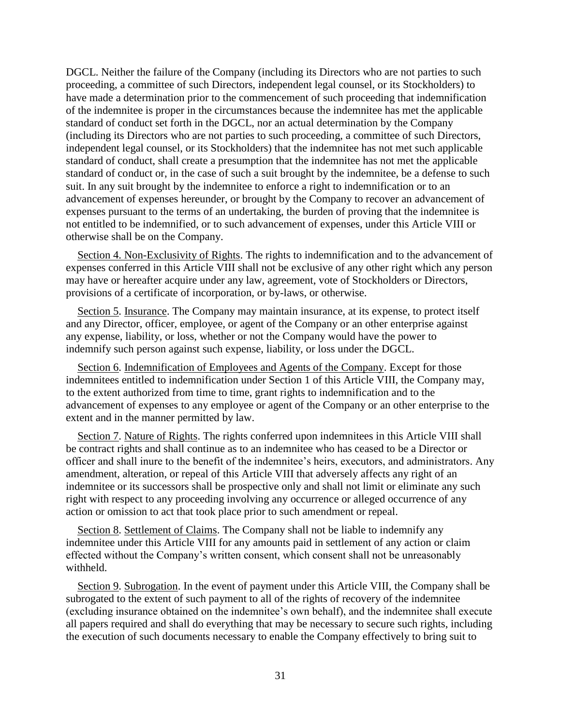DGCL. Neither the failure of the Company (including its Directors who are not parties to such proceeding, a committee of such Directors, independent legal counsel, or its Stockholders) to have made a determination prior to the commencement of such proceeding that indemnification of the indemnitee is proper in the circumstances because the indemnitee has met the applicable standard of conduct set forth in the DGCL, nor an actual determination by the Company (including its Directors who are not parties to such proceeding, a committee of such Directors, independent legal counsel, or its Stockholders) that the indemnitee has not met such applicable standard of conduct, shall create a presumption that the indemnitee has not met the applicable standard of conduct or, in the case of such a suit brought by the indemnitee, be a defense to such suit. In any suit brought by the indemnitee to enforce a right to indemnification or to an advancement of expenses hereunder, or brought by the Company to recover an advancement of expenses pursuant to the terms of an undertaking, the burden of proving that the indemnitee is not entitled to be indemnified, or to such advancement of expenses, under this Article VIII or otherwise shall be on the Company.

Section 4. Non-Exclusivity of Rights. The rights to indemnification and to the advancement of expenses conferred in this Article VIII shall not be exclusive of any other right which any person may have or hereafter acquire under any law, agreement, vote of Stockholders or Directors, provisions of a certificate of incorporation, or by-laws, or otherwise.

Section 5. Insurance. The Company may maintain insurance, at its expense, to protect itself and any Director, officer, employee, or agent of the Company or an other enterprise against any expense, liability, or loss, whether or not the Company would have the power to indemnify such person against such expense, liability, or loss under the DGCL.

Section 6. Indemnification of Employees and Agents of the Company. Except for those indemnitees entitled to indemnification under Section 1 of this Article VIII, the Company may, to the extent authorized from time to time, grant rights to indemnification and to the advancement of expenses to any employee or agent of the Company or an other enterprise to the extent and in the manner permitted by law.

Section 7. Nature of Rights. The rights conferred upon indemnitees in this Article VIII shall be contract rights and shall continue as to an indemnitee who has ceased to be a Director or officer and shall inure to the benefit of the indemnitee's heirs, executors, and administrators. Any amendment, alteration, or repeal of this Article VIII that adversely affects any right of an indemnitee or its successors shall be prospective only and shall not limit or eliminate any such right with respect to any proceeding involving any occurrence or alleged occurrence of any action or omission to act that took place prior to such amendment or repeal.

Section 8. Settlement of Claims. The Company shall not be liable to indemnify any indemnitee under this Article VIII for any amounts paid in settlement of any action or claim effected without the Company's written consent, which consent shall not be unreasonably withheld.

Section 9. Subrogation. In the event of payment under this Article VIII, the Company shall be subrogated to the extent of such payment to all of the rights of recovery of the indemnitee (excluding insurance obtained on the indemnitee's own behalf), and the indemnitee shall execute all papers required and shall do everything that may be necessary to secure such rights, including the execution of such documents necessary to enable the Company effectively to bring suit to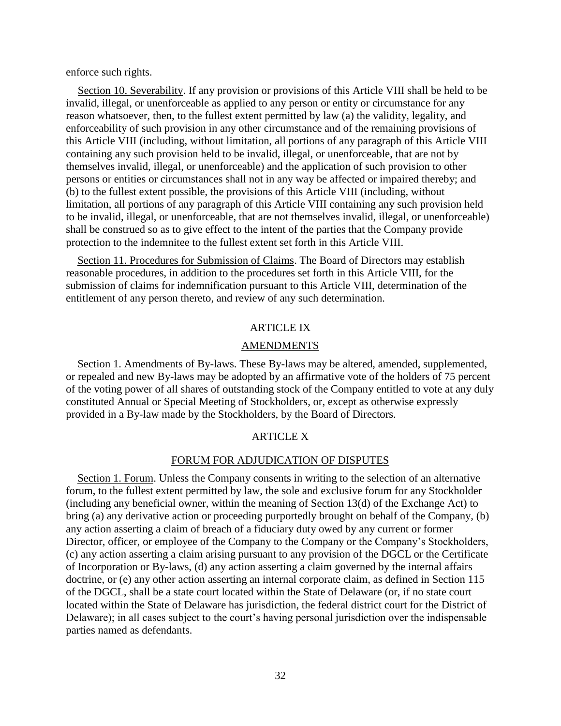enforce such rights.

Section 10. Severability. If any provision or provisions of this Article VIII shall be held to be invalid, illegal, or unenforceable as applied to any person or entity or circumstance for any reason whatsoever, then, to the fullest extent permitted by law (a) the validity, legality, and enforceability of such provision in any other circumstance and of the remaining provisions of this Article VIII (including, without limitation, all portions of any paragraph of this Article VIII containing any such provision held to be invalid, illegal, or unenforceable, that are not by themselves invalid, illegal, or unenforceable) and the application of such provision to other persons or entities or circumstances shall not in any way be affected or impaired thereby; and (b) to the fullest extent possible, the provisions of this Article VIII (including, without limitation, all portions of any paragraph of this Article VIII containing any such provision held to be invalid, illegal, or unenforceable, that are not themselves invalid, illegal, or unenforceable) shall be construed so as to give effect to the intent of the parties that the Company provide protection to the indemnitee to the fullest extent set forth in this Article VIII.

Section 11. Procedures for Submission of Claims. The Board of Directors may establish reasonable procedures, in addition to the procedures set forth in this Article VIII, for the submission of claims for indemnification pursuant to this Article VIII, determination of the entitlement of any person thereto, and review of any such determination.

# ARTICLE IX

### AMENDMENTS

Section 1. Amendments of By-laws. These By-laws may be altered, amended, supplemented, or repealed and new By-laws may be adopted by an affirmative vote of the holders of 75 percent of the voting power of all shares of outstanding stock of the Company entitled to vote at any duly constituted Annual or Special Meeting of Stockholders, or, except as otherwise expressly provided in a By-law made by the Stockholders, by the Board of Directors.

### ARTICLE X

### FORUM FOR ADJUDICATION OF DISPUTES

Section 1. Forum. Unless the Company consents in writing to the selection of an alternative forum, to the fullest extent permitted by law, the sole and exclusive forum for any Stockholder (including any beneficial owner, within the meaning of Section 13(d) of the Exchange Act) to bring (a) any derivative action or proceeding purportedly brought on behalf of the Company, (b) any action asserting a claim of breach of a fiduciary duty owed by any current or former Director, officer, or employee of the Company to the Company or the Company's Stockholders, (c) any action asserting a claim arising pursuant to any provision of the DGCL or the Certificate of Incorporation or By-laws, (d) any action asserting a claim governed by the internal affairs doctrine, or (e) any other action asserting an internal corporate claim, as defined in Section 115 of the DGCL, shall be a state court located within the State of Delaware (or, if no state court located within the State of Delaware has jurisdiction, the federal district court for the District of Delaware); in all cases subject to the court's having personal jurisdiction over the indispensable parties named as defendants.